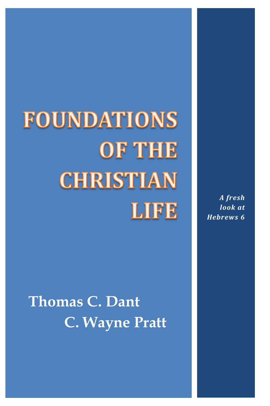**Thomas C. Dant C. Wayne Pratt** 

*A fresh look at Hebrews 6*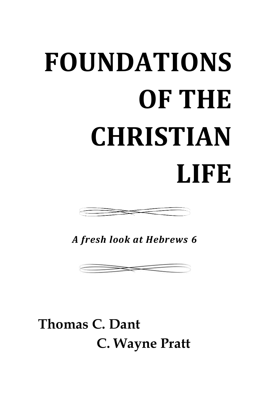

*A fresh look at Hebrews 6* 



# **Thomas C. Dant C. Wayne Pratt**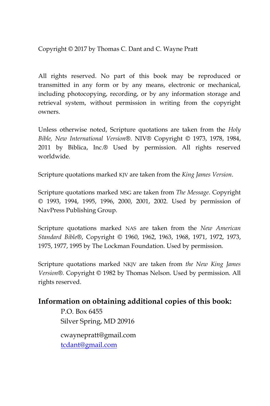Copyright © 2017 by Thomas C. Dant and C. Wayne Pratt

All rights reserved. No part of this book may be reproduced or transmitted in any form or by any means, electronic or mechanical, including photocopying, recording, or by any information storage and retrieval system, without permission in writing from the copyright owners.

Unless otherwise noted, Scripture quotations are taken from the *Holy Bible, New International Version*®. NIV® Copyright © 1973, 1978, 1984, 2011 by Biblica, Inc.® Used by permission. All rights reserved worldwide.

Scripture quotations marked KJV are taken from the *King James Version*.

Scripture quotations marked MSG are taken from *The Message*. Copyright © 1993, 1994, 1995, 1996, 2000, 2001, 2002. Used by permission of NavPress Publishing Group.

Scripture quotations marked NAS are taken from the *New American Standard Bible*®, Copyright © 1960, 1962, 1963, 1968, 1971, 1972, 1973, 1975, 1977, 1995 by The Lockman Foundation. Used by permission.

Scripture quotations marked NKJV are taken from *the New King James Version*®*.* Copyright © 1982 by Thomas Nelson. Used by permission. All rights reserved.

#### **Information on obtaining additional copies of this book:**

 P.O. Box 6455 Silver Spring, MD 20916 cwaynepratt@gmail.com [tcdant@gmail.com](mailto:tcdant@gmail.com)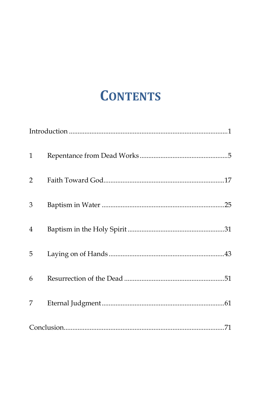# **CONTENTS**

| $\mathbf{1}$ |  |  |
|--------------|--|--|
| 2            |  |  |
| 3            |  |  |
| 4            |  |  |
| 5            |  |  |
| 6            |  |  |
| 7            |  |  |
|              |  |  |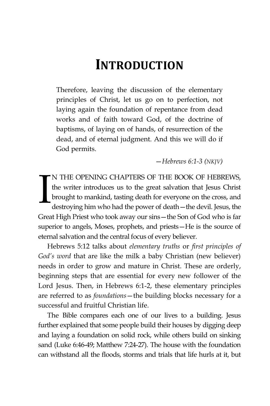### **INTRODUCTION**

<span id="page-8-0"></span>Therefore, leaving the discussion of the elementary principles of Christ, let us go on to perfection, not laying again the foundation of repentance from dead works and of faith toward God, of the doctrine of baptisms, of laying on of hands, of resurrection of the dead, and of eternal judgment. And this we will do if God permits.

—*Hebrews 6:1-3 (NKJV)* 

N THE OPENING CHAPTERS OF THE BOOK OF HEBREWS, the writer introduces us to the great salvation that Jesus Christ brought to mankind, tasting death for everyone on the cross, and destroying him who had the power of death—the devil. Jesus, the Great High Priest who took away our sins—the Son of God who is far superior to angels, Moses, prophets, and priests—He is the source of eternal salvation and the central focus of every believer. N 1<br>the<br>bro<br>des

Hebrews 5:12 talks about *elementary truths* or *first principles of God's word* that are like the milk a baby Christian (new believer) needs in order to grow and mature in Christ. These are orderly, beginning steps that are essential for every new follower of the Lord Jesus. Then, in Hebrews 6:1-2, these elementary principles are referred to as *foundations*—the building blocks necessary for a successful and fruitful Christian life.

The Bible compares each one of our lives to a building. Jesus further explained that some people build their houses by digging deep and laying a foundation on solid rock, while others build on sinking sand (Luke 6:46-49; Matthew 7:24-27). The house with the foundation can withstand all the floods, storms and trials that life hurls at it, but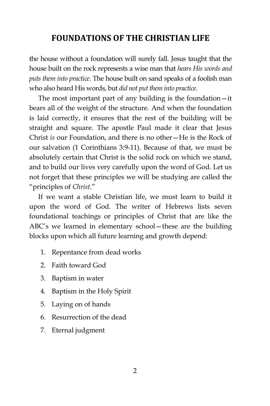the house without a foundation will surely fall. Jesus taught that the house built on the rock represents a wise man that *hears His words and puts them into practice*. The house built on sand speaks of a foolish man who also heard His words, but *did not put them into practice*.

The most important part of any building is the foundation—it bears all of the weight of the structure. And when the foundation is laid correctly, it ensures that the rest of the building will be straight and square. The apostle Paul made it clear that Jesus Christ *is* our Foundation, and there is no other—He is the Rock of our salvation (1 Corinthians 3:9-11). Because of that, we must be absolutely certain that Christ is the solid rock on which we stand, and to build our lives very carefully upon the word of God. Let us not forget that these principles we will be studying are called the "principles of *Christ*."

If we want a stable Christian life, we must learn to build it upon the word of God. The writer of Hebrews lists seven foundational teachings or principles of Christ that are like the ABC's we learned in elementary school—these are the building blocks upon which all future learning and growth depend:

- 1. Repentance from dead works
- 2. Faith toward God
- 3. Baptism in water
- 4. Baptism in the Holy Spirit
- 5. Laying on of hands
- 6. Resurrection of the dead
- 7. Eternal judgment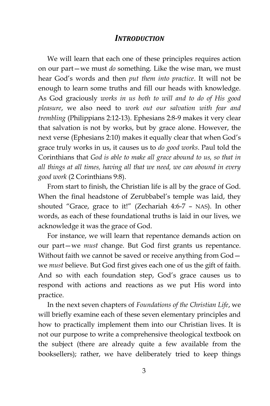#### *INTRODUCTION*

We will learn that each one of these principles requires action on our part—we must *do* something. Like the wise man, we must hear God's words and then *put them into practice*. It will not be enough to learn some truths and fill our heads with knowledge. As God graciously *works in us both to will and to do of His good pleasure*, we also need to *work out our salvation with fear and trembling* (Philippians 2:12-13). Ephesians 2:8-9 makes it very clear that salvation is not by works, but by grace alone. However, the next verse (Ephesians 2:10) makes it equally clear that when God's grace truly works in us, it causes us to *do good works*. Paul told the Corinthians that *God is able to make all grace abound to us, so that in all things at all times, having all that we need, we can abound in every good work* (2 Corinthians 9:8).

From start to finish, the Christian life is all by the grace of God. When the final headstone of Zerubbabel's temple was laid, they shouted "Grace, grace to it!" (Zechariah 4:6-7 – NAS). In other words, as each of these foundational truths is laid in our lives, we acknowledge it was the grace of God.

For instance, we will learn that repentance demands action on our part—we *must* change. But God first grants us repentance. Without faith we cannot be saved or receive anything from God we *must* believe. But God first gives each one of us the gift of faith. And so with each foundation step, God's grace causes us to respond with actions and reactions as we put His word into practice.

In the next seven chapters of *Foundations of the Christian Life*, we will briefly examine each of these seven elementary principles and how to practically implement them into our Christian lives. It is not our purpose to write a comprehensive theological textbook on the subject (there are already quite a few available from the booksellers); rather, we have deliberately tried to keep things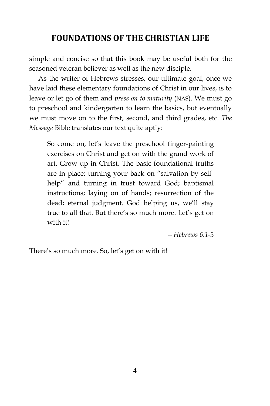simple and concise so that this book may be useful both for the seasoned veteran believer as well as the new disciple.

As the writer of Hebrews stresses, our ultimate goal, once we have laid these elementary foundations of Christ in our lives, is to leave or let go of them and *press on to maturity* (NAS). We must go to preschool and kindergarten to learn the basics, but eventually we must move on to the first, second, and third grades, etc. *The Message* Bible translates our text quite aptly:

So come on, let's leave the preschool finger-painting exercises on Christ and get on with the grand work of art. Grow up in Christ. The basic foundational truths are in place: turning your back on "salvation by selfhelp" and turning in trust toward God; baptismal instructions; laying on of hands; resurrection of the dead; eternal judgment. God helping us, we'll stay true to all that. But there's so much more. Let's get on with it!

*—Hebrews 6:1-3* 

There's so much more. So, let's get on with it!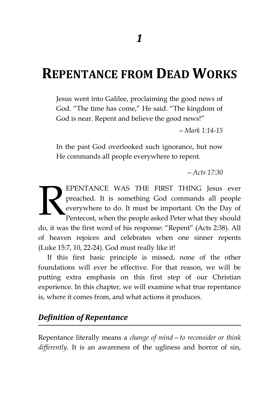### <span id="page-12-0"></span>**REPENTANCE FROM DEAD WORKS**

Jesus went into Galilee, proclaiming the good news of God. "The time has come," He said. "The kingdom of God is near. Repent and believe the good news!"

*—Mark 1:14-15* 

In the past God overlooked such ignorance, but now He commands all people everywhere to repent.

*—Acts 17:30* 

EPENTANCE WAS THE FIRST THING Jesus ever preached. It is something God commands all people everywhere to do. It must be important. On the Day of Pentecost, when the people asked Peter what they should do, it was the first word of his response: "Repent" (Acts 2:38). All of heaven rejoices and celebrates when one sinner repents (Luke 15:7, 10, 22-24). God must really like it!  $R_{\tiny{\textrm{per}}\phantom{}}^{\tiny{\textrm{\tiny{EPI}}}}$ 

If this first basic principle is missed, none of the other foundations will ever be effective. For that reason, we will be putting extra emphasis on this first step of our Christian experience. In this chapter, we will examine what true repentance is, where it comes from, and what actions it produces.

#### *Definition of Repentance*

Repentance literally means a *change of mind—to reconsider or think differently*. It is an awareness of the ugliness and horror of sin,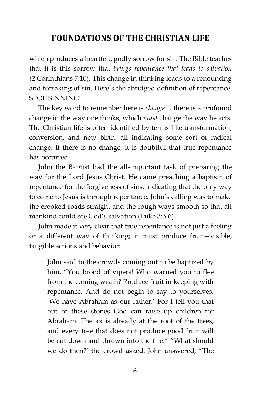which produces a heartfelt, godly sorrow for sin. The Bible teaches that it is this sorrow that *brings repentance that leads to salvation (*2 Corinthians 7:10). This change in thinking leads to a renouncing and forsaking of sin. Here's the abridged definition of repentance: STOP SINNING!

The key word to remember here is *change*… there is a profound change in the way one thinks, which *must* change the way he acts. The Christian life is often identified by terms like transformation, conversion, and new birth, all indicating some sort of radical change. If there is no change, it is doubtful that true repentance has occurred.

John the Baptist had the all-important task of preparing the way for the Lord Jesus Christ. He came preaching a baptism of repentance for the forgiveness of sins, indicating that the only way to come to Jesus is through repentance. John's calling was to make the crooked roads straight and the rough ways smooth so that all mankind could see God's salvation (Luke 3:3-6).

John made it very clear that true repentance is not just a feeling or a different way of thinking; it must produce fruit—visible, tangible actions and behavior:

John said to the crowds coming out to be baptized by him, "You brood of vipers! Who warned you to flee from the coming wrath? Produce fruit in keeping with repentance. And do not begin to say to yourselves, 'We have Abraham as our father.' For I tell you that out of these stones God can raise up children for Abraham. The ax is already at the root of the trees, and every tree that does not produce good fruit will be cut down and thrown into the fire." "What should we do then?' the crowd asked. John answered, "The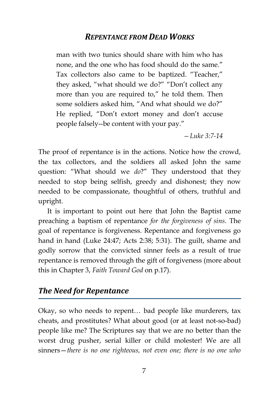#### *REPENTANCE FROM DEAD WORKS*

man with two tunics should share with him who has none, and the one who has food should do the same." Tax collectors also came to be baptized. "Teacher," they asked, "what should we do?" "Don't collect any more than you are required to," he told them. Then some soldiers asked him, "And what should we do?" He replied, "Don't extort money and don't accuse people falsely--be content with your pay."

*—Luke 3:7-14* 

The proof of repentance is in the actions. Notice how the crowd, the tax collectors, and the soldiers all asked John the same question: "What should we *do*?" They understood that they needed to stop being selfish, greedy and dishonest; they now needed to be compassionate, thoughtful of others, truthful and upright.

It is important to point out here that John the Baptist came preaching a baptism of repentance *for the forgiveness of sins.* The goal of repentance is forgiveness. Repentance and forgiveness go hand in hand (Luke 24:47; Acts 2:38; 5:31). The guilt, shame and godly sorrow that the convicted sinner feels as a result of true repentance is removed through the gift of forgiveness (more about this in Chapter 3, *[Faith Toward God](#page-24-0)* on p[.17\)](#page-24-0).

#### *The Need for Repentance*

Okay, so who needs to repent… bad people like murderers, tax cheats, and prostitutes? What about good (or at least not-so-bad) people like me? The Scriptures say that we are no better than the worst drug pusher, serial killer or child molester! We are all sinners—*there is no one righteous, not even one; there is no one who*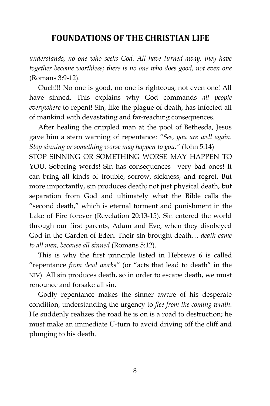*understands, no one who seeks God. All have turned away, they have together become worthless; there is no one who does good, not even one* (Romans 3:9-12).

Ouch!!! No one is good, no one is righteous, not even one! All have sinned. This explains why God commands *all people everywhere* to repent! Sin, like the plague of death, has infected all of mankind with devastating and far-reaching consequences.

After healing the crippled man at the pool of Bethesda, Jesus gave him a stern warning of repentance: *"See, you are well again. Stop sinning or something worse may happen to you." (*John 5:14)

STOP SINNING OR SOMETHING WORSE MAY HAPPEN TO YOU. Sobering words! Sin has consequences—very bad ones! It can bring all kinds of trouble, sorrow, sickness, and regret. But more importantly, sin produces death; not just physical death, but separation from God and ultimately what the Bible calls the "second death," which is eternal torment and punishment in the Lake of Fire forever (Revelation 20:13-15). Sin entered the world through our first parents, Adam and Eve, when they disobeyed God in the Garden of Eden. Their sin brought death… *death came to all men, because all sinned* (Romans 5:12).

This is why the first principle listed in Hebrews 6 is called "repentance *from dead works"* (or "acts that lead to death" in the NIV). All sin produces death, so in order to escape death, we must renounce and forsake all sin.

Godly repentance makes the sinner aware of his desperate condition, understanding the urgency to *flee from the coming wrath*. He suddenly realizes the road he is on is a road to destruction; he must make an immediate U-turn to avoid driving off the cliff and plunging to his death.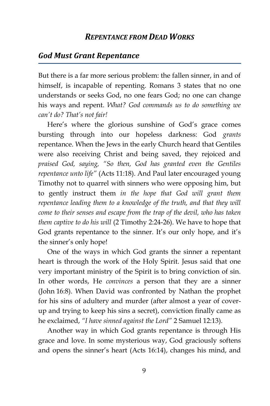#### *REPENTANCE FROM DEAD WORKS*

#### *God Must Grant Repentance*

But there is a far more serious problem: the fallen sinner, in and of himself, is incapable of repenting. Romans 3 states that no one understands or seeks God, no one fears God; no one can change his ways and repent. *What? God commands us to do something we can't do? That's not fair!* 

Here's where the glorious sunshine of God's grace comes bursting through into our hopeless darkness: God *grants* repentance. When the Jews in the early Church heard that Gentiles were also receiving Christ and being saved, they rejoiced and *praised God, saying, "So then, God has granted even the Gentiles repentance unto life"* (Acts 11:18). And Paul later encouraged young Timothy not to quarrel with sinners who were opposing him, but to gently instruct them *in the hope that God will grant them repentance leading them to a knowledge of the truth, and that they will come to their senses and escape from the trap of the devil, who has taken them captive to do his will* (2 Timothy 2:24-26). We have to hope that God grants repentance to the sinner. It's our only hope, and it's the sinner's only hope!

One of the ways in which God grants the sinner a repentant heart is through the work of the Holy Spirit. Jesus said that one very important ministry of the Spirit is to bring conviction of sin. In other words, He *convinces* a person that they are a sinner (John 16:8). When David was confronted by Nathan the prophet for his sins of adultery and murder (after almost a year of coverup and trying to keep his sins a secret), conviction finally came as he exclaimed, *"I have sinned against the Lord"* 2 Samuel 12:13).

Another way in which God grants repentance is through His grace and love. In some mysterious way, God graciously softens and opens the sinner's heart (Acts 16:14), changes his mind, and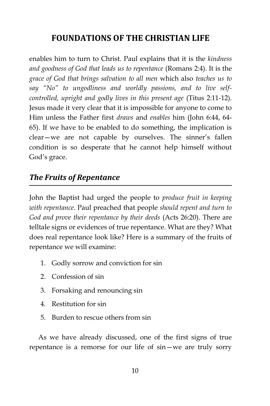enables him to turn to Christ. Paul explains that it is the *kindness and goodness of God that leads us to repentance* (Romans 2:4). It is the *grace of God that brings salvation to all men* which also *teaches us to say "No" to ungodliness and worldly passions, and to live selfcontrolled, upright and godly lives in this present age* (Titus 2:11-12). Jesus made it very clear that it is impossible for anyone to come to Him unless the Father first *draws* and *enables* him (John 6:44, 64- 65). If we have to be enabled to do something, the implication is clear—we are not capable by ourselves. The sinner's fallen condition is so desperate that he cannot help himself without God's grace.

#### *The Fruits of Repentance*

John the Baptist had urged the people to *produce fruit in keeping with repentance*. Paul preached that people *should repent and turn to God and prove their repentance by their deeds* (Acts 26:20). There are telltale signs or evidences of true repentance. What are they? What does real repentance look like? Here is a summary of the fruits of repentance we will examine:

- 1. Godly sorrow and conviction for sin
- 2. Confession of sin
- 3. Forsaking and renouncing sin
- 4. Restitution for sin
- 5. Burden to rescue others from sin

As we have already discussed, one of the first signs of true repentance is a remorse for our life of sin—we are truly sorry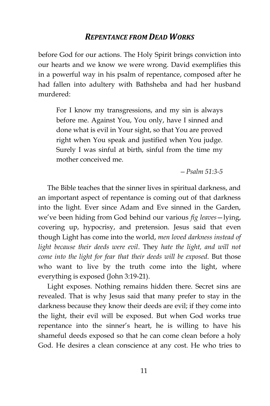#### *REPENTANCE FROM DEAD WORKS*

before God for our actions. The Holy Spirit brings conviction into our hearts and we know we were wrong. David exemplifies this in a powerful way in his psalm of repentance, composed after he had fallen into adultery with Bathsheba and had her husband murdered:

For I know my transgressions, and my sin is always before me. Against You, You only, have I sinned and done what is evil in Your sight, so that You are proved right when You speak and justified when You judge. Surely I was sinful at birth, sinful from the time my mother conceived me.

*—Psalm 51:3-5* 

The Bible teaches that the sinner lives in spiritual darkness, and an important aspect of repentance is coming out of that darkness into the light. Ever since Adam and Eve sinned in the Garden, we've been hiding from God behind our various *fig leaves*—lying, covering up, hypocrisy, and pretension. Jesus said that even though Light has come into the world, *men loved darkness instead of light because their deeds were evil*. They *hate the light, and will not come into the light for fear that their deeds will be exposed*. But those who want to live by the truth come into the light, where everything is exposed (John 3:19-21).

Light exposes. Nothing remains hidden there. Secret sins are revealed. That is why Jesus said that many prefer to stay in the darkness because they know their deeds are evil; if they come into the light, their evil will be exposed. But when God works true repentance into the sinner's heart, he is willing to have his shameful deeds exposed so that he can come clean before a holy God. He desires a clean conscience at any cost. He who tries to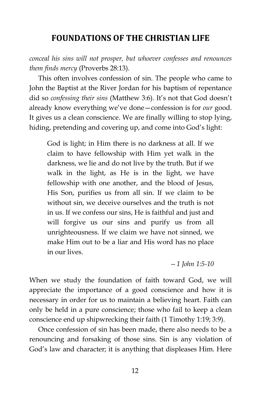*conceal his sins will not prosper, but whoever confesses and renounces them finds mercy* (Proverbs 28:13).

This often involves confession of sin. The people who came to John the Baptist at the River Jordan for his baptism of repentance did so *confessing their sins* (Matthew 3:6). It's not that God doesn't already know everything we've done—confession is for *our* good. It gives us a clean conscience. We are finally willing to stop lying, hiding, pretending and covering up, and come into God's light:

God is light; in Him there is no darkness at all. If we claim to have fellowship with Him yet walk in the darkness, we lie and do not live by the truth. But if we walk in the light, as He is in the light, we have fellowship with one another, and the blood of Jesus, His Son, purifies us from all sin. If we claim to be without sin, we deceive ourselves and the truth is not in us. If we confess our sins, He is faithful and just and will forgive us our sins and purify us from all unrighteousness. If we claim we have not sinned, we make Him out to be a liar and His word has no place in our lives.

*—1 John 1:5-10* 

When we study the foundation of faith toward God, we will appreciate the importance of a good conscience and how it is necessary in order for us to maintain a believing heart. Faith can only be held in a pure conscience; those who fail to keep a clean conscience end up shipwrecking their faith (1 Timothy 1:19; 3:9).

Once confession of sin has been made, there also needs to be a renouncing and forsaking of those sins. Sin is any violation of God's law and character; it is anything that displeases Him. Here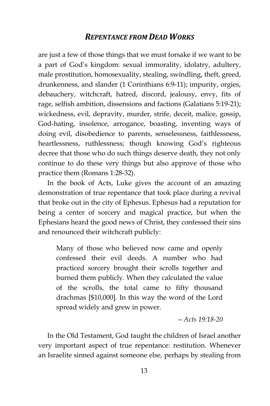#### *REPENTANCE FROM DEAD WORKS*

are just a few of those things that we must forsake if we want to be a part of God's kingdom: sexual immorality, idolatry, adultery, male prostitution, homosexuality, stealing, swindling, theft, greed, drunkenness, and slander (1 Corinthians 6:9-11); impurity, orgies, debauchery, witchcraft, hatred, discord, jealousy, envy, fits of rage, selfish ambition, dissensions and factions (Galatians 5:19-21); wickedness, evil, depravity, murder, strife, deceit, malice, gossip, God-hating, insolence, arrogance, boasting, inventing ways of doing evil, disobedience to parents, senselessness, faithlessness, heartlessness, ruthlessness; though knowing God's righteous decree that those who do such things deserve death, they not only continue to do these very things but also approve of those who practice them (Romans 1:28-32).

In the book of Acts, Luke gives the account of an amazing demonstration of true repentance that took place during a revival that broke out in the city of Ephesus. Ephesus had a reputation for being a center of sorcery and magical practice, but when the Ephesians heard the good news of Christ, they confessed their sins and renounced their witchcraft publicly:

Many of those who believed now came and openly confessed their evil deeds. A number who had practiced sorcery brought their scrolls together and burned them publicly. When they calculated the value of the scrolls, the total came to fifty thousand drachmas [\$10,000]. In this way the word of the Lord spread widely and grew in power.

*—Acts 19:18-20* 

In the Old Testament, God taught the children of Israel another very important aspect of true repentance: restitution. Whenever an Israelite sinned against someone else, perhaps by stealing from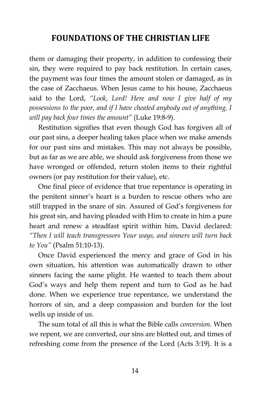them or damaging their property, in addition to confessing their sin, they were required to pay back restitution. In certain cases, the payment was four times the amount stolen or damaged, as in the case of Zacchaeus. When Jesus came to his house, Zacchaeus said to the Lord, *"Look, Lord! Here and now I give half of my possessions to the poor, and if I have cheated anybody out of anything, I will pay back four times the amount"* (Luke 19:8-9).

Restitution signifies that even though God has forgiven all of our past sins, a deeper healing takes place when we make amends for our past sins and mistakes. This may not always be possible, but as far as we are able, we should ask forgiveness from those we have wronged or offended, return stolen items to their rightful owners (or pay restitution for their value), etc.

One final piece of evidence that true repentance is operating in the penitent sinner's heart is a burden to rescue others who are still trapped in the snare of sin. Assured of God's forgiveness for his great sin, and having pleaded with Him to create in him a pure heart and renew a steadfast spirit within him, David declared: *"Then I will teach transgressors Your ways, and sinners will turn back to You"* (Psalm 51:10-13).

Once David experienced the mercy and grace of God in his own situation, his attention was automatically drawn to other sinners facing the same plight. He wanted to teach them about God's ways and help them repent and turn to God as he had done. When we experience true repentance, we understand the horrors of sin, and a deep compassion and burden for the lost wells up inside of us.

The sum total of all this is what the Bible calls *conversion*. When we repent, we are converted, our sins are blotted out, and times of refreshing come from the presence of the Lord (Acts 3:19). It is a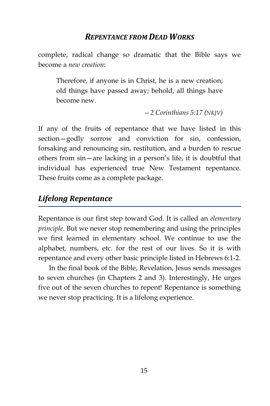#### *REPENTANCE FROM DEAD WORKS*

complete, radical change so dramatic that the Bible says we become a *new creation*:

Therefore, if anyone is in Christ, he is a new creation; old things have passed away; behold, all things have become new.

*—2 Corinthians 5:17 (NKJV)* 

If any of the fruits of repentance that we have listed in this section—godly sorrow and conviction for sin, confession, forsaking and renouncing sin, restitution, and a burden to rescue others from sin—are lacking in a person's life, it is doubtful that individual has experienced true New Testament repentance. These fruits come as a complete package.

#### *Lifelong Repentance*

Repentance is our first step toward God. It is called an *elementary principle*. But we never stop remembering and using the principles we first learned in elementary school. We continue to use the alphabet, numbers, etc. for the rest of our lives. So it is with repentance and every other basic principle listed in Hebrews 6:1-2.

 In the final book of the Bible, Revelation, Jesus sends messages to seven churches (in Chapters 2 and 3). Interestingly, He urges five out of the seven churches to repent! Repentance is something we never stop practicing. It is a lifelong experience.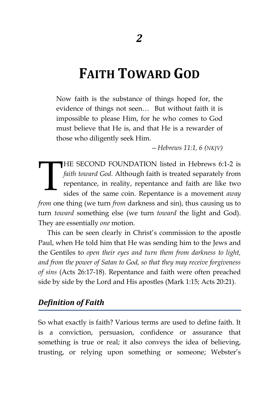## <span id="page-24-0"></span>**FAITH TOWARD GOD**

Now faith is the substance of things hoped for, the evidence of things not seen… But without faith it is impossible to please Him, for he who comes to God must believe that He is, and that He is a rewarder of those who diligently seek Him.

*—Hebrews 11:1, 6 (NKJV)* 

HE SECOND FOUNDATION listed in Hebrews 6:1-2 is *faith toward God*. Although faith is treated separately from repentance, in reality, repentance and faith are like two sides of the same coin. Repentance is a movement *away from* one thing (we turn *from* darkness and sin), thus causing us to turn *toward* something else (we turn *toward* the light and God). They are essentially *one* motion. THE<br>
faith<br>
rep<br>
side

This can be seen clearly in Christ's commission to the apostle Paul, when He told him that He was sending him to the Jews and the Gentiles to *open their eyes and turn them from darkness to light, and from the power of Satan to God, so that they may receive forgiveness of sins* (Acts 26:17-18). Repentance and faith were often preached side by side by the Lord and His apostles (Mark 1:15; Acts 20:21).

#### *Definition of Faith*

So what exactly is faith? Various terms are used to define faith. It is a conviction, persuasion, confidence or assurance that something is true or real; it also conveys the idea of believing, trusting, or relying upon something or someone; Webster's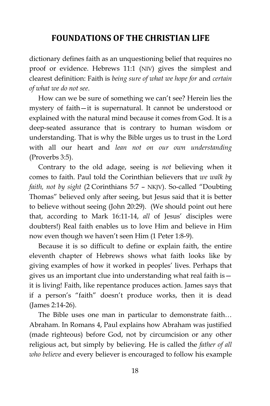dictionary defines faith as an unquestioning belief that requires no proof or evidence. Hebrews 11:1 (NIV) gives the simplest and clearest definition: Faith is *being sure of what we hope for* and *certain of what we do not see*.

How can we be sure of something we can't see? Herein lies the mystery of faith—it is supernatural. It cannot be understood or explained with the natural mind because it comes from God. It is a deep-seated assurance that is contrary to human wisdom or understanding. That is why the Bible urges us to trust in the Lord with all our heart and *lean not on our own understanding* (Proverbs 3:5).

Contrary to the old adage, seeing is *not* believing when it comes to faith. Paul told the Corinthian believers that *we walk by faith, not by sight* (2 Corinthians 5:7 – NKJV). So-called "Doubting Thomas" believed only after seeing, but Jesus said that it is better to believe without seeing (John 20:29). (We should point out here that, according to Mark 16:11-14, *all* of Jesus' disciples were doubters!) Real faith enables us to love Him and believe in Him now even though we haven't seen Him (1 Peter 1:8-9).

Because it is so difficult to define or explain faith, the entire eleventh chapter of Hebrews shows what faith looks like by giving examples of how it worked in peoples' lives. Perhaps that gives us an important clue into understanding what real faith is it is living! Faith, like repentance produces action. James says that if a person's "faith" doesn't produce works, then it is dead (James 2:14-26).

The Bible uses one man in particular to demonstrate faith… Abraham. In Romans 4, Paul explains how Abraham was justified (made righteous) before God, not by circumcision or any other religious act, but simply by believing. He is called the *father of all who believe* and every believer is encouraged to follow his example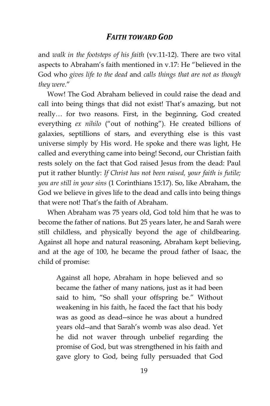#### *FAITH TOWARD GOD*

and *walk in the footsteps of his faith* (vv.11-12). There are two vital aspects to Abraham's faith mentioned in v.17: He "believed in the God who *gives life to the dead* and *calls things that are not as though they were.*"

Wow! The God Abraham believed in could raise the dead and call into being things that did not exist! That's amazing, but not really… for two reasons. First, in the beginning, God created everything *ex nihilo* ("out of nothing")*.* He created billions of galaxies, septillions of stars, and everything else is this vast universe simply by His word. He spoke and there was light, He called and everything came into being! Second, our Christian faith rests solely on the fact that God raised Jesus from the dead: Paul put it rather bluntly: *If Christ has not been raised, your faith is futile; you are still in your sins* (1 Corinthians 15:17). So, like Abraham, the God we believe in gives life to the dead and calls into being things that were not! That's the faith of Abraham.

When Abraham was 75 years old, God told him that he was to become the father of nations. But 25 years later, he and Sarah were still childless, and physically beyond the age of childbearing. Against all hope and natural reasoning, Abraham kept believing, and at the age of 100, he became the proud father of Isaac, the child of promise:

Against all hope, Abraham in hope believed and so became the father of many nations, just as it had been said to him, "So shall your offspring be." Without weakening in his faith, he faced the fact that his body was as good as dead--since he was about a hundred years old--and that Sarah's womb was also dead. Yet he did not waver through unbelief regarding the promise of God, but was strengthened in his faith and gave glory to God, being fully persuaded that God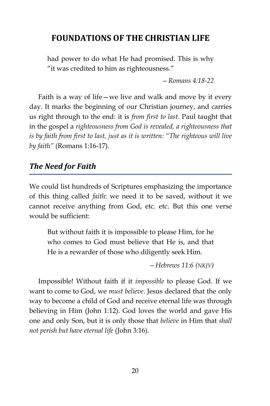had power to do what He had promised. This is why "it was credited to him as righteousness."

*—Romans 4:18-22* 

Faith is a way of life—we live and walk and move by it every day. It marks the beginning of our Christian journey, and carries us right through to the end: it is *from first to last*. Paul taught that in the gospel a *righteousness from God is revealed, a righteousness that is by faith from first to last, just as it is written: "The righteous will live by faith"* (Romans 1:16-17).

#### *The Need for Faith*

We could list hundreds of Scriptures emphasizing the importance of this thing called *faith*: we need it to be saved, without it we cannot receive anything from God, etc. etc. But this one verse would be sufficient:

But without faith it is impossible to please Him, for he who comes to God must believe that He is, and that He is a rewarder of those who diligently seek Him.

*—Hebrews 11:6 (NKJV)* 

Impossible! Without faith if it *impossible* to please God. If we want to come to God, we *must believe*. Jesus declared that the only way to become a child of God and receive eternal life was through believing in Him (John 1:12). God loves the world and gave His one and only Son, but it is only those that *believe* in Him that *shall not perish but have eternal life* (John 3:16).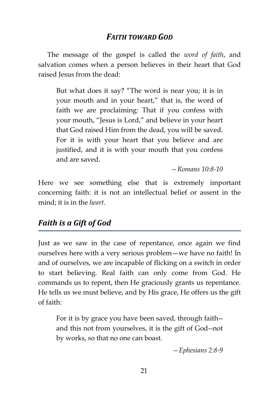#### *FAITH TOWARD GOD*

The message of the gospel is called the *word of faith*, and salvation comes when a person believes in their heart that God raised Jesus from the dead:

But what does it say? "The word is near you; it is in your mouth and in your heart," that is, the word of faith we are proclaiming: That if you confess with your mouth, "Jesus is Lord," and believe in your heart that God raised Him from the dead, you will be saved. For it is with your heart that you believe and are justified, and it is with your mouth that you confess and are saved.

*—Romans 10:8-10* 

Here we see something else that is extremely important concerning faith: it is not an intellectual belief or assent in the mind; it is in the *heart*.

#### *Faith is a Gift of God*

Just as we saw in the case of repentance, once again we find ourselves here with a very serious problem—we have no faith! In and of ourselves, we are incapable of flicking on a switch in order to start believing. Real faith can only come from God. He commands us to repent, then He graciously grants us repentance. He tells us we must believe, and by His grace, He offers us the gift of faith:

For it is by grace you have been saved, through faith- and this not from yourselves, it is the gift of God--not by works, so that no one can boast.

*—Ephesians 2:8-9*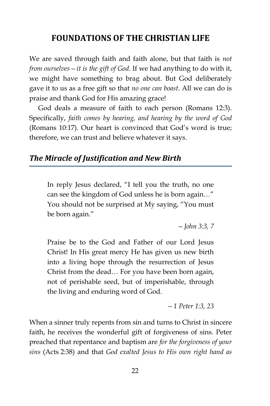We are saved through faith and faith alone, but that faith is *not from ourselves—it is the gift of God*. If we had anything to do with it, we might have something to brag about. But God deliberately gave it to us as a free gift so that *no one can boast*. All we can do is praise and thank God for His amazing grace!

God deals a measure of faith to each person (Romans 12:3). Specifically, *faith comes by hearing, and hearing by the word of God* (Romans 10:17). Our heart is convinced that God's word is true; therefore, we can trust and believe whatever it says.

#### *The Miracle of Justification and New Birth*

In reply Jesus declared, "I tell you the truth, no one can see the kingdom of God unless he is born again…" You should not be surprised at My saying, "You must be born again."

*—John 3:3, 7* 

Praise be to the God and Father of our Lord Jesus Christ! In His great mercy He has given us new birth into a living hope through the resurrection of Jesus Christ from the dead… For you have been born again, not of perishable seed, but of imperishable, through the living and enduring word of God.

*—1 Peter 1:3, 23* 

When a sinner truly repents from sin and turns to Christ in sincere faith, he receives the wonderful gift of forgiveness of sins. Peter preached that repentance and baptism are *for the forgiveness of your sins* (Acts 2:38) and that *God exalted Jesus to His own right hand as*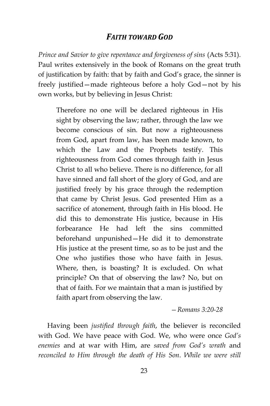#### *FAITH TOWARD GOD*

*Prince and Savior to give repentance and forgiveness of sins* (Acts 5:31). Paul writes extensively in the book of Romans on the great truth of justification by faith: that by faith and God's grace, the sinner is freely justified—made righteous before a holy God—not by his own works, but by believing in Jesus Christ:

Therefore no one will be declared righteous in His sight by observing the law; rather, through the law we become conscious of sin. But now a righteousness from God, apart from law, has been made known, to which the Law and the Prophets testify. This righteousness from God comes through faith in Jesus Christ to all who believe. There is no difference, for all have sinned and fall short of the glory of God, and are justified freely by his grace through the redemption that came by Christ Jesus. God presented Him as a sacrifice of atonement, through faith in His blood. He did this to demonstrate His justice, because in His forbearance He had left the sins committed beforehand unpunished—He did it to demonstrate His justice at the present time, so as to be just and the One who justifies those who have faith in Jesus. Where, then, is boasting? It is excluded. On what principle? On that of observing the law? No, but on that of faith. For we maintain that a man is justified by faith apart from observing the law.

*—Romans 3:20-28* 

Having been *justified through faith*, the believer is reconciled with God. We have peace with God. We, who were once *God's enemies* and at war with Him, are *saved from God's wrath* and *reconciled to Him through the death of His Son*. *While we were still*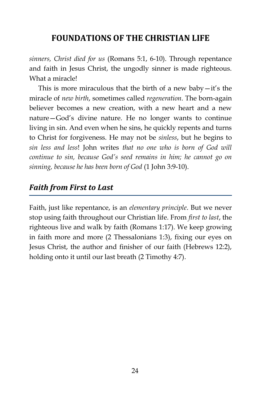*sinners, Christ died for us* (Romans 5:1, 6-10). Through repentance and faith in Jesus Christ, the ungodly sinner is made righteous. What a miracle!

This is more miraculous that the birth of a new baby $-$ it's the miracle of *new birth*, sometimes called *regeneration*. The born-again believer becomes a new creation, with a new heart and a new nature—God's divine nature. He no longer wants to continue living in sin. And even when he sins, he quickly repents and turns to Christ for forgiveness. He may not be *sinless*, but he begins to *sin less and less*! John writes *that no one who is born of God will continue to sin, because God's seed remains in him; he cannot go on sinning, because he has been born of God* (1 John 3:9-10).

#### *Faith from First to Last*

Faith, just like repentance, is an *elementary principle*. But we never stop using faith throughout our Christian life. From *first to last*, the righteous live and walk by faith (Romans 1:17). We keep growing in faith more and more (2 Thessalonians 1:3), fixing our eyes on Jesus Christ, the author and finisher of our faith (Hebrews 12:2), holding onto it until our last breath (2 Timothy 4:7).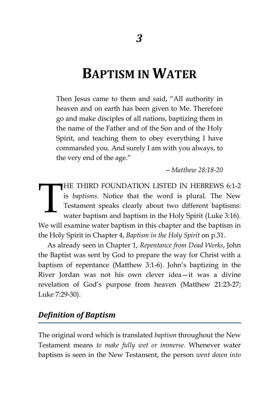## **BAPTISM IN WATER**

<span id="page-32-0"></span>Then Jesus came to them and said, "All authority in heaven and on earth has been given to Me. Therefore go and make disciples of all nations, baptizing them in the name of the Father and of the Son and of the Holy Spirit, and teaching them to obey everything I have commanded you. And surely I am with you always, to the very end of the age."

*—Matthew 28:18-20* 

HE THIRD FOUNDATION LISTED IN HEBREWS 6:1-2 is *baptisms*. Notice that the word is plural. The New Testament speaks clearly about two different baptisms: water baptism and baptism in the Holy Spirit (Luke 3:16). We will examine water baptism in this chapter and the baptism in the Holy Spirit in Chapter 4, *[Baptism in the Holy Spirit](#page-38-0)* on [p.31.](#page-38-0) THE<br>Tes<br>wat

As already seen in Chapter 1, *Repentance from Dead Works*, John the Baptist was sent by God to prepare the way for Christ with a baptism of repentance (Matthew 3:1-6). John's baptizing in the River Jordan was not his own clever idea—it was a divine revelation of God's purpose from heaven (Matthew 21:23-27; Luke 7:29-30).

#### *Definition of Baptism*

The original word which is translated *baptism* throughout the New Testament means *to make fully wet or immerse*. Whenever water baptism is seen in the New Testament, the person *went down into*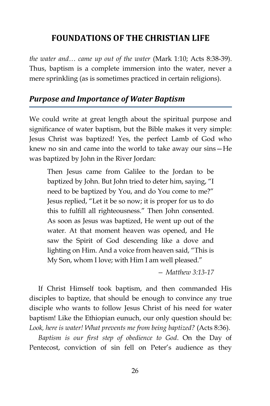*the water and… came up out of the water* (Mark 1:10; Acts 8:38-39). Thus, baptism is a complete immersion into the water, never a mere sprinkling (as is sometimes practiced in certain religions).

#### *Purpose and Importance of Water Baptism*

We could write at great length about the spiritual purpose and significance of water baptism, but the Bible makes it very simple: Jesus Christ was baptized! Yes, the perfect Lamb of God who knew no sin and came into the world to take away our sins—He was baptized by John in the River Jordan:

Then Jesus came from Galilee to the Jordan to be baptized by John. But John tried to deter him, saying, "I need to be baptized by You, and do You come to me?" Jesus replied, "Let it be so now; it is proper for us to do this to fulfill all righteousness." Then John consented. As soon as Jesus was baptized, He went up out of the water. At that moment heaven was opened, and He saw the Spirit of God descending like a dove and lighting on Him. And a voice from heaven said, "This is My Son, whom I love; with Him I am well pleased."

*— Matthew 3:13-17* 

If Christ Himself took baptism, and then commanded His disciples to baptize, that should be enough to convince any true disciple who wants to follow Jesus Christ of his need for water baptism! Like the Ethiopian eunuch, our only question should be: *Look, here is water! What prevents me from being baptized?* (Acts 8:36).

*Baptism is our first step of obedience to God*. On the Day of Pentecost, conviction of sin fell on Peter's audience as they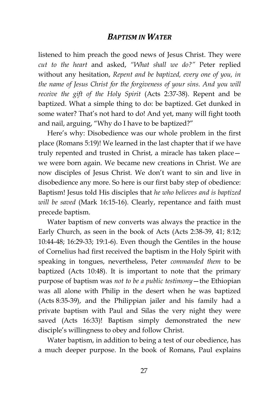#### *BAPTISM IN WATER*

listened to him preach the good news of Jesus Christ. They were *cut to the heart* and asked, *"What shall we do?"* Peter replied without any hesitation, *Repent and be baptized, every one of you, in the name of Jesus Christ for the forgiveness of your sins. And you will receive the gift of the Holy Spirit* (Acts 2:37-38). Repent and be baptized. What a simple thing to do: be baptized. Get dunked in some water? That's not hard to do! And yet, many will fight tooth and nail, arguing, "Why do I have to be baptized?"

Here's why: Disobedience was our whole problem in the first place (Romans 5:19)! We learned in the last chapter that if we have truly repented and trusted in Christ, a miracle has taken place we were born again. We became new creations in Christ. We are now disciples of Jesus Christ. We don't want to sin and live in disobedience any more. So here is our first baby step of obedience: Baptism! Jesus told His disciples that *he who believes and is baptized will be saved* (Mark 16:15-16). Clearly, repentance and faith must precede baptism.

Water baptism of new converts was always the practice in the Early Church, as seen in the book of Acts (Acts 2:38-39, 41; 8:12; 10:44-48; 16:29-33; 19:1-6). Even though the Gentiles in the house of Cornelius had first received the baptism in the Holy Spirit with speaking in tongues, nevertheless, Peter *commanded them* to be baptized (Acts 10:48). It is important to note that the primary purpose of baptism was *not to be a public testimony*—the Ethiopian was all alone with Philip in the desert when he was baptized (Acts 8:35-39), and the Philippian jailer and his family had a private baptism with Paul and Silas the very night they were saved (Acts 16:33)! Baptism simply demonstrated the new disciple's willingness to obey and follow Christ.

Water baptism, in addition to being a test of our obedience, has a much deeper purpose. In the book of Romans, Paul explains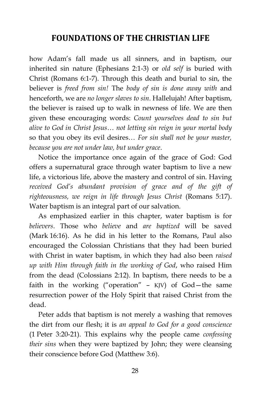how Adam's fall made us all sinners, and in baptism, our inherited sin nature (Ephesians 2:1-3) or *old self* is buried with Christ (Romans 6:1-7). Through this death and burial to sin, the believer is *freed from sin!* The *body of sin is done away with* and henceforth, we are *no longer slaves to sin*. Hallelujah! After baptism, the believer is raised up to walk in newness of life. We are then given these encouraging words: *Count yourselves dead to sin but alive to God in Christ Jesus*… *not letting sin reign in your mortal body* so that you obey its evil desires… *For sin shall not be your master, because you are not under law, but under grace*.

Notice the importance once again of the grace of God: God offers a supernatural grace through water baptism to live a new life, a victorious life, above the mastery and control of sin. Having *received God's abundant provision of grace and of the gift of righteousness, we reign in life through Jesus Christ* (Romans 5:17). Water baptism is an integral part of our salvation.

As emphasized earlier in this chapter, water baptism is for *believers*. Those who *believe* and *are baptized* will be saved (Mark 16:16). As he did in his letter to the Romans, Paul also encouraged the Colossian Christians that they had been buried with Christ in water baptism, in which they had also been *raised up with Him through faith in the working of God*, who raised Him from the dead (Colossians 2:12). In baptism, there needs to be a faith in the working ("operation" –  $K|V\rangle$  of  $God$  – the same resurrection power of the Holy Spirit that raised Christ from the dead.

Peter adds that baptism is not merely a washing that removes the dirt from our flesh; it is *an appeal to God for a good conscience* (1 Peter 3:20-21). This explains why the people came *confessing their sins* when they were baptized by John; they were cleansing their conscience before God (Matthew 3:6).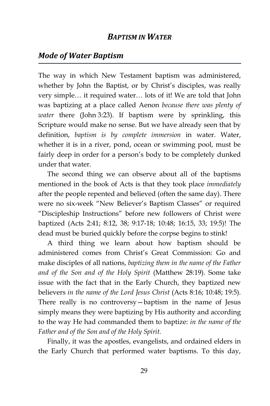#### *BAPTISM IN WATER*

#### *Mode of Water Baptism*

The way in which New Testament baptism was administered, whether by John the Baptist, or by Christ's disciples, was really very simple… it required water… lots of it! We are told that John was baptizing at a place called Aenon *because there was plenty of water* there (John 3:23). If baptism were by sprinkling, this Scripture would make no sense. But we have already seen that by definition, *baptism is by complete immersion* in water. Water, whether it is in a river, pond, ocean or swimming pool, must be fairly deep in order for a person's body to be completely dunked under that water.

The second thing we can observe about all of the baptisms mentioned in the book of Acts is that they took place *immediately* after the people repented and believed (often the same day). There were no six-week "New Believer's Baptism Classes" or required "Discipleship Instructions" before new followers of Christ were baptized (Acts 2:41; 8:12, 38; 9:17-18; 10:48; 16:15, 33; 19:5)! The dead must be buried quickly before the corpse begins to stink!

A third thing we learn about how baptism should be administered comes from Christ's Great Commission: Go and make disciples of all nations, *baptizing them in the name of the Father and of the Son and of the Holy Spirit* (Matthew 28:19). Some take issue with the fact that in the Early Church, they baptized new believers *in the name of the Lord Jesus Christ* (Acts 8:16; 10:48; 19:5). There really is no controversy—baptism in the name of Jesus simply means they were baptizing by His authority and according to the way He had commanded them to baptize: *in the name of the Father and of the Son and of the Holy Spirit.* 

Finally, it was the apostles, evangelists, and ordained elders in the Early Church that performed water baptisms. To this day,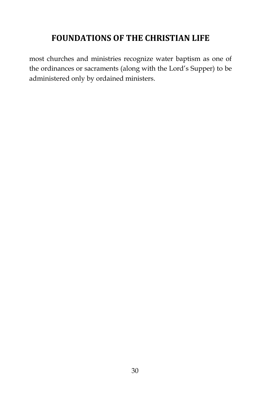most churches and ministries recognize water baptism as one of the ordinances or sacraments (along with the Lord's Supper) to be administered only by ordained ministers.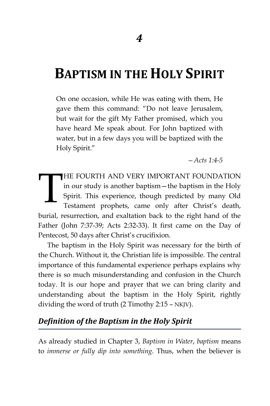# **BAPTISM IN THE HOLY SPIRIT**

On one occasion, while He was eating with them, He gave them this command: "Do not leave Jerusalem, but wait for the gift My Father promised, which you have heard Me speak about. For John baptized with water, but in a few days you will be baptized with the Holy Spirit."

*—Acts 1:4-5* 

HE FOURTH AND VERY IMPORTANT FOUNDATION in our study is another baptism—the baptism in the Holy Spirit. This experience, though predicted by many Old Testament prophets, came only after Christ's death, burial, resurrection, and exaltation back to the right hand of the Father (John 7:37-39; Acts 2:32-33). It first came on the Day of Pentecost, 50 days after Christ's crucifixion. THE in c Spite

The baptism in the Holy Spirit was necessary for the birth of the Church. Without it, the Christian life is impossible. The central importance of this fundamental experience perhaps explains why there is so much misunderstanding and confusion in the Church today. It is our hope and prayer that we can bring clarity and understanding about the baptism in the Holy Spirit, rightly dividing the word of truth (2 Timothy 2:15 – NKJV).

## *Definition of the Baptism in the Holy Spirit*

As already studied in Chapter 3, *Baptism in Water*, *baptism* means to *immerse or fully dip into something*. Thus, when the believer is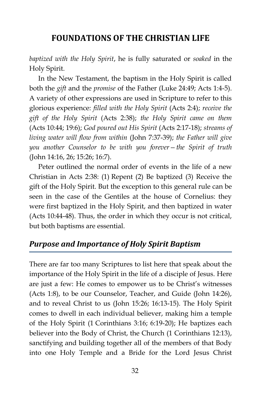*baptized with the Holy Spirit*, he is fully saturated or *soaked* in the Holy Spirit.

In the New Testament, the baptism in the Holy Spirit is called both the *gift* and the *promise* of the Father (Luke 24:49; Acts 1:4-5). A variety of other expressions are used in Scripture to refer to this glorious experience: *filled with the Holy Spirit* (Acts 2:4); *receive the gift of the Holy Spirit* (Acts 2:38); *the Holy Spirit came on them* (Acts 10:44; 19:6); *God poured out His Spirit* (Acts 2:17-18); *streams of living water will flow from within* (John 7:37-39); *the Father will give you another Counselor to be with you forever—the Spirit of truth* (John 14:16, 26; 15:26; 16:7).

Peter outlined the normal order of events in the life of a new Christian in Acts 2:38: (1) Repent (2) Be baptized (3) Receive the gift of the Holy Spirit. But the exception to this general rule can be seen in the case of the Gentiles at the house of Cornelius: they were first baptized in the Holy Spirit, and then baptized in water (Acts 10:44-48). Thus, the order in which they occur is not critical, but both baptisms are essential.

## *Purpose and Importance of Holy Spirit Baptism*

There are far too many Scriptures to list here that speak about the importance of the Holy Spirit in the life of a disciple of Jesus. Here are just a few: He comes to empower us to be Christ's witnesses (Acts 1:8), to be our Counselor, Teacher, and Guide (John 14:26), and to reveal Christ to us (John 15:26; 16:13-15). The Holy Spirit comes to dwell in each individual believer, making him a temple of the Holy Spirit (1 Corinthians 3:16; 6:19-20); He baptizes each believer into the Body of Christ, the Church (1 Corinthians 12:13), sanctifying and building together all of the members of that Body into one Holy Temple and a Bride for the Lord Jesus Christ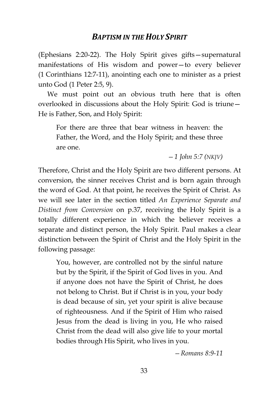(Ephesians 2:20-22). The Holy Spirit gives gifts—supernatural manifestations of His wisdom and power—to every believer (1 Corinthians 12:7-11), anointing each one to minister as a priest unto God (1 Peter 2:5, 9).

We must point out an obvious truth here that is often overlooked in discussions about the Holy Spirit: God is triune— He is Father, Son, and Holy Spirit:

For there are three that bear witness in heaven: the Father, the Word, and the Holy Spirit; and these three are one.

*—1 John 5:7 (NKJV)* 

Therefore, Christ and the Holy Spirit are two different persons. At conversion, the sinner receives Christ and is born again through the word of God. At that point, he receives the Spirit of Christ. As we will see later in the section titled *An Experience Separate and Distinct from Conversion* on p[.37,](#page-44-0) receiving the Holy Spirit is a totally different experience in which the believer receives a separate and distinct person, the Holy Spirit. Paul makes a clear distinction between the Spirit of Christ and the Holy Spirit in the following passage:

You, however, are controlled not by the sinful nature but by the Spirit, if the Spirit of God lives in you. And if anyone does not have the Spirit of Christ, he does not belong to Christ. But if Christ is in you, your body is dead because of sin, yet your spirit is alive because of righteousness. And if the Spirit of Him who raised Jesus from the dead is living in you, He who raised Christ from the dead will also give life to your mortal bodies through His Spirit, who lives in you.

*—Romans 8:9-11*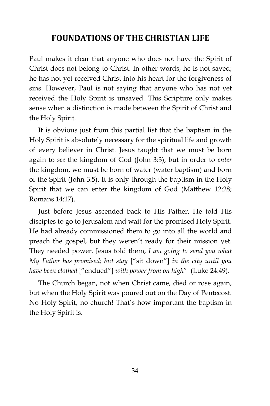Paul makes it clear that anyone who does not have the Spirit of Christ does not belong to Christ. In other words, he is not saved; he has not yet received Christ into his heart for the forgiveness of sins. However, Paul is not saying that anyone who has not yet received the Holy Spirit is unsaved. This Scripture only makes sense when a distinction is made between the Spirit of Christ and the Holy Spirit.

It is obvious just from this partial list that the baptism in the Holy Spirit is absolutely necessary for the spiritual life and growth of every believer in Christ. Jesus taught that we must be born again to *see* the kingdom of God (John 3:3), but in order to *enter* the kingdom, we must be born of water (water baptism) and born of the Spirit (John 3:5). It is only through the baptism in the Holy Spirit that we can enter the kingdom of God (Matthew 12:28; Romans 14:17).

Just before Jesus ascended back to His Father, He told His disciples to go to Jerusalem and wait for the promised Holy Spirit. He had already commissioned them to go into all the world and preach the gospel, but they weren't ready for their mission yet. They needed power. Jesus told them, *I am going to send you what My Father has promised; but stay* ["sit down"] *in the city until you have been clothed* ["endued"] *with power from on high*" (Luke 24:49).

The Church began, not when Christ came, died or rose again, but when the Holy Spirit was poured out on the Day of Pentecost. No Holy Spirit, no church! That's how important the baptism in the Holy Spirit is.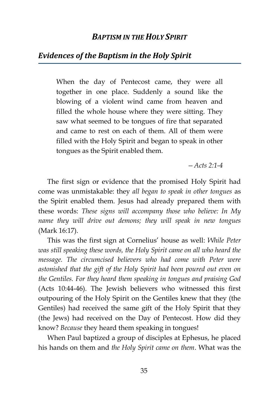#### *Evidences of the Baptism in the Holy Spirit*

When the day of Pentecost came, they were all together in one place. Suddenly a sound like the blowing of a violent wind came from heaven and filled the whole house where they were sitting. They saw what seemed to be tongues of fire that separated and came to rest on each of them. All of them were filled with the Holy Spirit and began to speak in other tongues as the Spirit enabled them.

*—Acts 2:1-4* 

The first sign or evidence that the promised Holy Spirit had come was unmistakable: they *all began to speak in other tongues* as the Spirit enabled them. Jesus had already prepared them with these words: *These signs will accompany those who believe: In My name they will drive out demons; they will speak in new tongues*  (Mark 16:17).

This was the first sign at Cornelius' house as well: *While Peter was still speaking these words, the Holy Spirit came on all who heard the message. The circumcised believers who had come with Peter were astonished that the gift of the Holy Spirit had been poured out even on the Gentiles. For they heard them speaking in tongues and praising God*  (Acts 10:44-46). The Jewish believers who witnessed this first outpouring of the Holy Spirit on the Gentiles knew that they (the Gentiles) had received the same gift of the Holy Spirit that they (the Jews) had received on the Day of Pentecost. How did they know? *Because* they heard them speaking in tongues!

When Paul baptized a group of disciples at Ephesus, he placed his hands on them and *the Holy Spirit came on them*. What was the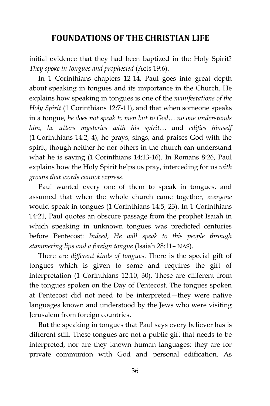initial evidence that they had been baptized in the Holy Spirit? *They spoke in tongues and prophesied* (Acts 19:6).

In 1 Corinthians chapters 12-14, Paul goes into great depth about speaking in tongues and its importance in the Church. He explains how speaking in tongues is one of the *manifestations of the Holy Spirit* (1 Corinthians 12:7-11), and that when someone speaks in a tongue, *he does not speak to men but to God… no one understands him; he utters mysteries with his spirit…* and *edifies himself* (1 Corinthians 14:2, 4); he prays, sings, and praises God with the spirit, though neither he nor others in the church can understand what he is saying (1 Corinthians 14:13-16). In Romans 8:26, Paul explains how the Holy Spirit helps us pray, interceding for us *with groans that words cannot express*.

Paul wanted every one of them to speak in tongues, and assumed that when the whole church came together, *everyone* would speak in tongues (1 Corinthians 14:5, 23). In 1 Corinthians 14:21, Paul quotes an obscure passage from the prophet Isaiah in which speaking in unknown tongues was predicted centuries before Pentecost: *Indeed, He will speak to this people through stammering lips and a foreign tongue* (Isaiah 28:11– NAS).

There are *different kinds of tongues*. There is the special gift of tongues which is given to some and requires the gift of interpretation (1 Corinthians 12:10, 30). These are different from the tongues spoken on the Day of Pentecost. The tongues spoken at Pentecost did not need to be interpreted—they were native languages known and understood by the Jews who were visiting Jerusalem from foreign countries.

But the speaking in tongues that Paul says every believer has is different still. These tongues are not a public gift that needs to be interpreted, nor are they known human languages; they are for private communion with God and personal edification. As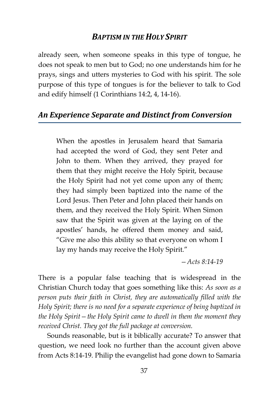#### *BAPTISM IN THE HOLY SPIRIT*

already seen, when someone speaks in this type of tongue, he does not speak to men but to God; no one understands him for he prays, sings and utters mysteries to God with his spirit. The sole purpose of this type of tongues is for the believer to talk to God and edify himself (1 Corinthians 14:2, 4, 14-16).

### <span id="page-44-0"></span>*An Experience Separate and Distinct from Conversion*

When the apostles in Jerusalem heard that Samaria had accepted the word of God, they sent Peter and John to them. When they arrived, they prayed for them that they might receive the Holy Spirit, because the Holy Spirit had not yet come upon any of them; they had simply been baptized into the name of the Lord Jesus. Then Peter and John placed their hands on them, and they received the Holy Spirit. When Simon saw that the Spirit was given at the laying on of the apostles' hands, he offered them money and said, "Give me also this ability so that everyone on whom I lay my hands may receive the Holy Spirit."

*—Acts 8:14-19* 

There is a popular false teaching that is widespread in the Christian Church today that goes something like this: *As soon as a person puts their faith in Christ, they are automatically filled with the Holy Spirit; there is no need for a separate experience of being baptized in the Holy Spirit—the Holy Spirit came to dwell in them the moment they received Christ. They got the full package at conversion.* 

Sounds reasonable, but is it biblically accurate? To answer that question, we need look no further than the account given above from Acts 8:14-19. Philip the evangelist had gone down to Samaria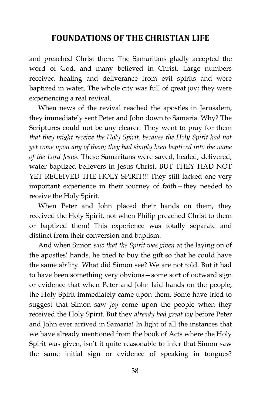and preached Christ there. The Samaritans gladly accepted the word of God, and many believed in Christ. Large numbers received healing and deliverance from evil spirits and were baptized in water. The whole city was full of great joy; they were experiencing a real revival.

When news of the revival reached the apostles in Jerusalem, they immediately sent Peter and John down to Samaria. Why? The Scriptures could not be any clearer: They went to pray for them *that they might receive the Holy Spirit, because the Holy Spirit had not yet come upon any of them; they had simply been baptized into the name of the Lord Jesus*. These Samaritans were saved, healed, delivered, water baptized believers in Jesus Christ, BUT THEY HAD NOT YET RECEIVED THE HOLY SPIRIT!!! They still lacked one very important experience in their journey of faith—they needed to receive the Holy Spirit.

When Peter and John placed their hands on them, they received the Holy Spirit, not when Philip preached Christ to them or baptized them! This experience was totally separate and distinct from their conversion and baptism.

And when Simon *saw that the Spirit was given* at the laying on of the apostles' hands, he tried to buy the gift so that he could have the same ability. What did Simon see? We are not told. But it had to have been something very obvious—some sort of outward sign or evidence that when Peter and John laid hands on the people, the Holy Spirit immediately came upon them. Some have tried to suggest that Simon saw *joy* come upon the people when they received the Holy Spirit. But they *already had great joy* before Peter and John ever arrived in Samaria! In light of all the instances that we have already mentioned from the book of Acts where the Holy Spirit was given, isn't it quite reasonable to infer that Simon saw the same initial sign or evidence of speaking in tongues?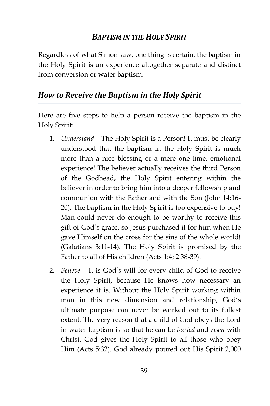## *BAPTISM IN THE HOLY SPIRIT*

Regardless of what Simon saw, one thing is certain: the baptism in the Holy Spirit is an experience altogether separate and distinct from conversion or water baptism.

## *How to Receive the Baptism in the Holy Spirit*

Here are five steps to help a person receive the baptism in the Holy Spirit:

- 1. *Understand* The Holy Spirit is a Person! It must be clearly understood that the baptism in the Holy Spirit is much more than a nice blessing or a mere one-time, emotional experience! The believer actually receives the third Person of the Godhead, the Holy Spirit entering within the believer in order to bring him into a deeper fellowship and communion with the Father and with the Son (John 14:16- 20). The baptism in the Holy Spirit is too expensive to buy! Man could never do enough to be worthy to receive this gift of God's grace, so Jesus purchased it for him when He gave Himself on the cross for the sins of the whole world! (Galatians 3:11-14). The Holy Spirit is promised by the Father to all of His children (Acts 1:4; 2:38-39).
- 2. *Believe* It is God's will for every child of God to receive the Holy Spirit, because He knows how necessary an experience it is. Without the Holy Spirit working within man in this new dimension and relationship, God's ultimate purpose can never be worked out to its fullest extent. The very reason that a child of God obeys the Lord in water baptism is so that he can be *buried* and *risen* with Christ. God gives the Holy Spirit to all those who obey Him (Acts 5:32). God already poured out His Spirit 2,000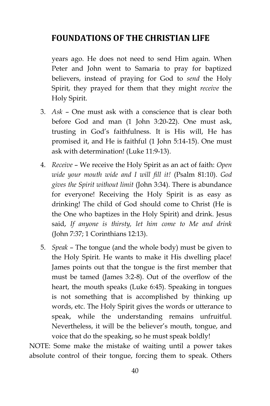years ago. He does not need to send Him again. When Peter and John went to Samaria to pray for baptized believers, instead of praying for God to *send* the Holy Spirit, they prayed for them that they might *receive* the Holy Spirit.

- 3. *Ask* One must ask with a conscience that is clear both before God and man (1 John 3:20-22). One must ask, trusting in God's faithfulness. It is His will, He has promised it, and He is faithful (1 John 5:14-15). One must ask with determination! (Luke 11:9-13).
- 4. *Receive* We receive the Holy Spirit as an act of faith: *Open wide your mouth wide and I will fill it!* (Psalm 81:10). *God gives the Spirit without limit* (John 3:34). There is abundance for everyone! Receiving the Holy Spirit is as easy as drinking! The child of God should come to Christ (He is the One who baptizes in the Holy Spirit) and drink. Jesus said, *If anyone is thirsty, let him come to Me and drink* (John 7:37; 1 Corinthians 12:13).
- 5. *Speak* The tongue (and the whole body) must be given to the Holy Spirit. He wants to make it His dwelling place! James points out that the tongue is the first member that must be tamed (James 3:2-8). Out of the overflow of the heart, the mouth speaks (Luke 6:45). Speaking in tongues is not something that is accomplished by thinking up words, etc. The Holy Spirit gives the words or utterance to speak, while the understanding remains unfruitful. Nevertheless, it will be the believer's mouth, tongue, and voice that do the speaking, so he must speak boldly!

NOTE: Some make the mistake of waiting until a power takes absolute control of their tongue, forcing them to speak. Others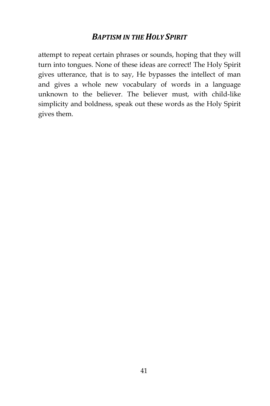## *BAPTISM IN THE HOLY SPIRIT*

attempt to repeat certain phrases or sounds, hoping that they will turn into tongues. None of these ideas are correct! The Holy Spirit gives utterance, that is to say, He bypasses the intellect of man and gives a whole new vocabulary of words in a language unknown to the believer. The believer must, with child-like simplicity and boldness, speak out these words as the Holy Spirit gives them.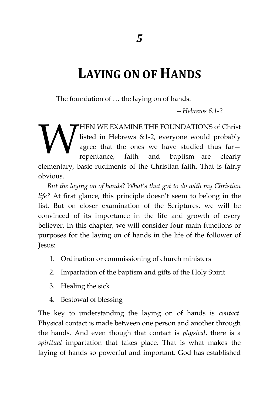# **LAYING ON OF HANDS**

The foundation of … the laying on of hands.

*—Hebrews 6:1-2* 

HEN WE EXAMINE THE FOUNDATIONS of Christ listed in Hebrews 6:1-2, everyone would probably agree that the ones we have studied thus far repentance, faith and baptism—are clearly elementary, basic rudiments of the Christian faith. That is fairly obvious.  $\boldsymbol{\mathcal{W}}_{\tiny{\textrm{agr}}\phantom{}}^{\textrm{\tiny{HE}}}$ 

*But the laying on of hands*? *What's that got to do with my Christian life?* At first glance, this principle doesn't seem to belong in the list. But on closer examination of the Scriptures, we will be convinced of its importance in the life and growth of every believer. In this chapter, we will consider four main functions or purposes for the laying on of hands in the life of the follower of Jesus:

- 1. Ordination or commissioning of church ministers
- 2. Impartation of the baptism and gifts of the Holy Spirit
- 3. Healing the sick
- 4. Bestowal of blessing

The key to understanding the laying on of hands is *contact*. Physical contact is made between one person and another through the hands. And even though that contact is *physical*, there is a *spiritual* impartation that takes place. That is what makes the laying of hands so powerful and important. God has established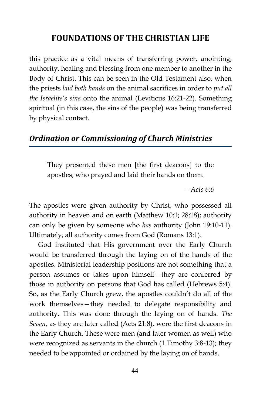this practice as a vital means of transferring power, anointing, authority, healing and blessing from one member to another in the Body of Christ. This can be seen in the Old Testament also, when the priests *laid both hands* on the animal sacrifices in order to *put all the Israelite's sins* onto the animal (Leviticus 16:21-22). Something spiritual (in this case, the sins of the people) was being transferred by physical contact.

#### *Ordination or Commissioning of Church Ministries*

They presented these men [the first deacons] to the apostles, who prayed and laid their hands on them.

*—Acts 6:6* 

The apostles were given authority by Christ, who possessed all authority in heaven and on earth (Matthew 10:1; 28:18); authority can only be given by someone who *has* authority (John 19:10-11). Ultimately, all authority comes from God (Romans 13:1).

God instituted that His government over the Early Church would be transferred through the laying on of the hands of the apostles. Ministerial leadership positions are not something that a person assumes or takes upon himself—they are conferred by those in authority on persons that God has called (Hebrews 5:4). So, as the Early Church grew, the apostles couldn't do all of the work themselves—they needed to delegate responsibility and authority. This was done through the laying on of hands. *The Seven*, as they are later called (Acts 21:8), were the first deacons in the Early Church. These were men (and later women as well) who were recognized as servants in the church (1 Timothy 3:8-13); they needed to be appointed or ordained by the laying on of hands.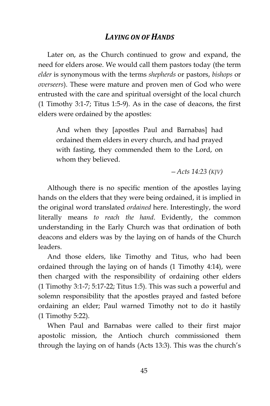#### *LAYING ON OF HANDS*

Later on, as the Church continued to grow and expand, the need for elders arose. We would call them pastors today (the term *elder* is synonymous with the terms *shepherds* or pastors, *bishops* or *overseers*). These were mature and proven men of God who were entrusted with the care and spiritual oversight of the local church (1 Timothy 3:1-7; Titus 1:5-9). As in the case of deacons, the first elders were ordained by the apostles:

And when they [apostles Paul and Barnabas] had ordained them elders in every church, and had prayed with fasting, they commended them to the Lord, on whom they believed.

*—Acts 14:23 (KJV)* 

Although there is no specific mention of the apostles laying hands on the elders that they were being ordained, it is implied in the original word translated *ordained* here. Interestingly, the word literally means *to reach the hand*. Evidently, the common understanding in the Early Church was that ordination of both deacons and elders was by the laying on of hands of the Church leaders.

And those elders, like Timothy and Titus, who had been ordained through the laying on of hands (1 Timothy 4:14), were then charged with the responsibility of ordaining other elders (1 Timothy 3:1-7; 5:17-22; Titus 1:5). This was such a powerful and solemn responsibility that the apostles prayed and fasted before ordaining an elder; Paul warned Timothy not to do it hastily (1 Timothy 5:22).

When Paul and Barnabas were called to their first major apostolic mission, the Antioch church commissioned them through the laying on of hands (Acts 13:3). This was the church's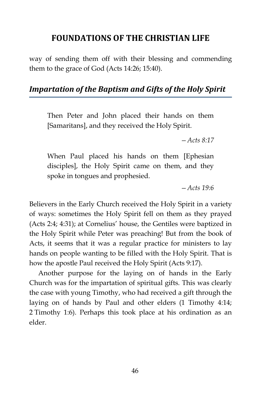way of sending them off with their blessing and commending them to the grace of God (Acts 14:26; 15:40).

## *Impartation of the Baptism and Gifts of the Holy Spirit*

Then Peter and John placed their hands on them [Samaritans], and they received the Holy Spirit.

*—Acts 8:17* 

When Paul placed his hands on them [Ephesian disciples], the Holy Spirit came on them, and they spoke in tongues and prophesied.

*—Acts 19:6* 

Believers in the Early Church received the Holy Spirit in a variety of ways: sometimes the Holy Spirit fell on them as they prayed (Acts 2:4; 4:31); at Cornelius' house, the Gentiles were baptized in the Holy Spirit while Peter was preaching! But from the book of Acts, it seems that it was a regular practice for ministers to lay hands on people wanting to be filled with the Holy Spirit. That is how the apostle Paul received the Holy Spirit (Acts 9:17).

Another purpose for the laying on of hands in the Early Church was for the impartation of spiritual gifts. This was clearly the case with young Timothy, who had received a gift through the laying on of hands by Paul and other elders (1 Timothy 4:14; 2 Timothy 1:6). Perhaps this took place at his ordination as an elder.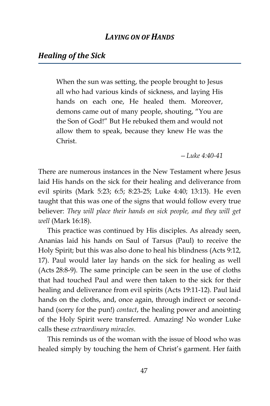#### *LAYING ON OF HANDS*

#### *Healing of the Sick*

When the sun was setting, the people brought to Jesus all who had various kinds of sickness, and laying His hands on each one, He healed them. Moreover, demons came out of many people, shouting, "You are the Son of God!" But He rebuked them and would not allow them to speak, because they knew He was the Christ.

*—Luke 4:40-41* 

There are numerous instances in the New Testament where Jesus laid His hands on the sick for their healing and deliverance from evil spirits (Mark 5:23; 6:5; 8:23-25; Luke 4:40; 13:13). He even taught that this was one of the signs that would follow every true believer: *They will place their hands on sick people, and they will get well* (Mark 16:18).

This practice was continued by His disciples. As already seen, Ananias laid his hands on Saul of Tarsus (Paul) to receive the Holy Spirit; but this was also done to heal his blindness (Acts 9:12, 17). Paul would later lay hands on the sick for healing as well (Acts 28:8-9). The same principle can be seen in the use of cloths that had touched Paul and were then taken to the sick for their healing and deliverance from evil spirits (Acts 19:11-12). Paul laid hands on the cloths, and, once again, through indirect or secondhand (sorry for the pun!) *contact*, the healing power and anointing of the Holy Spirit were transferred. Amazing! No wonder Luke calls these *extraordinary miracles*.

This reminds us of the woman with the issue of blood who was healed simply by touching the hem of Christ's garment. Her faith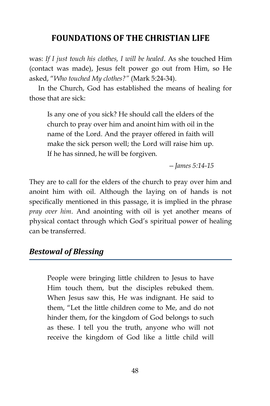was: *If I just touch his clothes, I will be healed*. As she touched Him (contact was made), Jesus felt power go out from Him, so He asked, "*Who touched My clothes?"* (Mark 5:24-34).

In the Church, God has established the means of healing for those that are sick:

Is any one of you sick? He should call the elders of the church to pray over him and anoint him with oil in the name of the Lord. And the prayer offered in faith will make the sick person well; the Lord will raise him up. If he has sinned, he will be forgiven.

*—James 5:14-15* 

They are to call for the elders of the church to pray over him and anoint him with oil. Although the laying on of hands is not specifically mentioned in this passage, it is implied in the phrase *pray over him*. And anointing with oil is yet another means of physical contact through which God's spiritual power of healing can be transferred.

#### *Bestowal of Blessing*

People were bringing little children to Jesus to have Him touch them, but the disciples rebuked them. When Jesus saw this, He was indignant. He said to them, "Let the little children come to Me, and do not hinder them, for the kingdom of God belongs to such as these. I tell you the truth, anyone who will not receive the kingdom of God like a little child will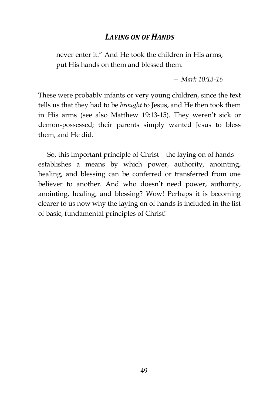#### *LAYING ON OF HANDS*

never enter it." And He took the children in His arms, put His hands on them and blessed them.

*— Mark 10:13-16* 

These were probably infants or very young children, since the text tells us that they had to be *brought* to Jesus, and He then took them in His arms (see also Matthew 19:13-15). They weren't sick or demon-possessed; their parents simply wanted Jesus to bless them, and He did.

So, this important principle of Christ—the laying on of hands establishes a means by which power, authority, anointing, healing, and blessing can be conferred or transferred from one believer to another. And who doesn't need power, authority, anointing, healing, and blessing? Wow! Perhaps it is becoming clearer to us now why the laying on of hands is included in the list of basic, fundamental principles of Christ!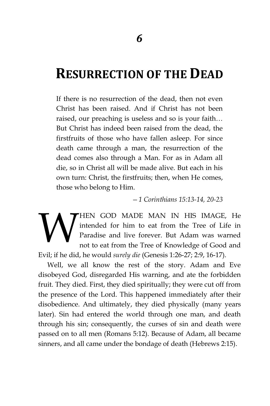# <span id="page-58-0"></span>**RESURRECTION OF THE DEAD**

If there is no resurrection of the dead, then not even Christ has been raised. And if Christ has not been raised, our preaching is useless and so is your faith… But Christ has indeed been raised from the dead, the firstfruits of those who have fallen asleep. For since death came through a man, the resurrection of the dead comes also through a Man. For as in Adam all die, so in Christ all will be made alive. But each in his own turn: Christ, the firstfruits; then, when He comes, those who belong to Him.

*—1 Corinthians 15:13-14, 20-23* 

HEN GOD MADE MAN IN HIS IMAGE, He intended for him to eat from the Tree of Life in Paradise and live forever. But Adam was warned not to eat from the Tree of Knowledge of Good and Evil; if he did, he would *surely die* (Genesis 1:26-27; 2:9, 16-17).  $\boldsymbol{\mathcal{W}}_{\textrm{\tiny{r}}\textrm{\tiny{a}}\textrm{\tiny{b}}}^{\textrm{\tiny{HE}}}$ 

Well, we all know the rest of the story. Adam and Eve disobeyed God, disregarded His warning, and ate the forbidden fruit. They died. First, they died spiritually; they were cut off from the presence of the Lord. This happened immediately after their disobedience. And ultimately, they died physically (many years later). Sin had entered the world through one man, and death through his sin; consequently, the curses of sin and death were passed on to all men (Romans 5:12). Because of Adam, all became sinners, and all came under the bondage of death (Hebrews 2:15).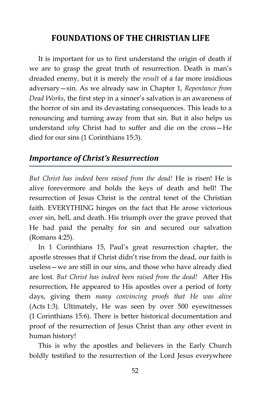It is important for us to first understand the origin of death if we are to grasp the great truth of resurrection. Death is man's dreaded enemy, but it is merely the *result* of a far more insidious adversary—sin. As we already saw in Chapter 1, *Repentance from Dead Works*, the first step in a sinner's salvation is an awareness of the horror of sin and its devastating consequences. This leads to a renouncing and turning away from that sin. But it also helps us understand *why* Christ had to suffer and die on the cross—He died for our sins (1 Corinthians 15:3).

## *Importance of Christ's Resurrection*

*But Christ has indeed been raised from the dead!* He is risen! He is alive forevermore and holds the keys of death and hell! The resurrection of Jesus Christ is the central tenet of the Christian faith. EVERYTHING hinges on the fact that He arose victorious over sin, hell, and death. His triumph over the grave proved that He had paid the penalty for sin and secured our salvation (Romans 4:25).

In 1 Corinthians 15, Paul's great resurrection chapter, the apostle stresses that if Christ didn't rise from the dead, our faith is useless—we are still in our sins, and those who have already died are lost. *But Christ has indeed been raised from the dead!* After His resurrection, He appeared to His apostles over a period of forty days, giving them *many convincing proofs that He was alive* (Acts 1:3). Ultimately, He was seen by over 500 eyewitnesses (1 Corinthians 15:6). There is better historical documentation and proof of the resurrection of Jesus Christ than any other event in human history!

This is why the apostles and believers in the Early Church boldly testified to the resurrection of the Lord Jesus everywhere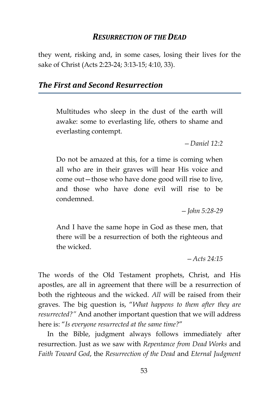#### *RESURRECTION OF THE DEAD*

they went, risking and, in some cases, losing their lives for the sake of Christ (Acts 2:23-24; 3:13-15; 4:10, 33).

#### <span id="page-60-0"></span>*The First and Second Resurrection*

Multitudes who sleep in the dust of the earth will awake: some to everlasting life, others to shame and everlasting contempt.

*—Daniel 12:2* 

Do not be amazed at this, for a time is coming when all who are in their graves will hear His voice and come out—those who have done good will rise to live, and those who have done evil will rise to be condemned.

*—John 5:28-29* 

And I have the same hope in God as these men, that there will be a resurrection of both the righteous and the wicked.

*—Acts 24:15* 

The words of the Old Testament prophets, Christ, and His apostles, are all in agreement that there will be a resurrection of both the righteous and the wicked. *All* will be raised from their graves. The big question is, "*What happens to them after they are resurrected?"* And another important question that we will address here is: "*Is everyone resurrected at the same time?*"

In the Bible, judgment always follows immediately after resurrection. Just as we saw with *Repentance from Dead Works* and *Faith Toward God*, the *Resurrection of the Dead* and *Eternal Judgment*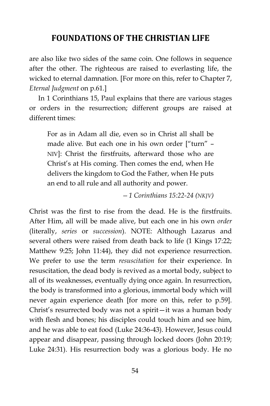are also like two sides of the same coin. One follows in sequence after the other. The righteous are raised to everlasting life, the wicked to eternal damnation. [For more on this, refer to Chapter 7, *[Eternal Judgment](#page-68-0)* on p[.61.](#page-68-0)]

In 1 Corinthians 15, Paul explains that there are various stages or orders in the resurrection; different groups are raised at different times:

For as in Adam all die, even so in Christ all shall be made alive. But each one in his own order ["turn" – NIV]: Christ the firstfruits, afterward those who are Christ's at His coming. Then comes the end, when He delivers the kingdom to God the Father, when He puts an end to all rule and all authority and power.

*—1 Corinthians 15:22-24 (NKJV)* 

Christ was the first to rise from the dead. He is the firstfruits. After Him, all will be made alive, but each one in his own *order* (literally, *series* or *succession*). NOTE: Although Lazarus and several others were raised from death back to life (1 Kings 17:22; Matthew 9:25; John 11:44), they did not experience resurrection. We prefer to use the term *resuscitation* for their experience. In resuscitation, the dead body is revived as a mortal body, subject to all of its weaknesses, eventually dying once again. In resurrection, the body is transformed into a glorious, immortal body which will never again experience death [for more on this, refer to p[.59\]](#page-66-0). Christ's resurrected body was not a spirit—it was a human body with flesh and bones; his disciples could touch him and see him, and he was able to eat food (Luke 24:36-43). However, Jesus could appear and disappear, passing through locked doors (John 20:19; Luke 24:31). His resurrection body was a glorious body. He no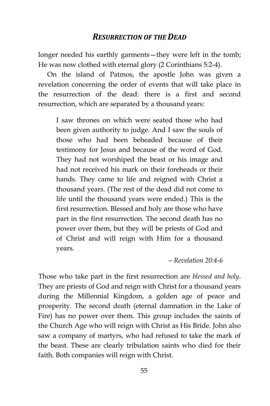#### *RESURRECTION OF THE DEAD*

longer needed his earthly garments—they were left in the tomb; He was now clothed with eternal glory (2 Corinthians 5:2-4).

On the island of Patmos, the apostle John was given a revelation concerning the order of events that will take place in the resurrection of the dead: there is a first and second resurrection, which are separated by a thousand years:

I saw thrones on which were seated those who had been given authority to judge. And I saw the souls of those who had been beheaded because of their testimony for Jesus and because of the word of God. They had not worshiped the beast or his image and had not received his mark on their foreheads or their hands. They came to life and reigned with Christ a thousand years. (The rest of the dead did not come to life until the thousand years were ended.) This is the first resurrection. Blessed and holy are those who have part in the first resurrection. The second death has no power over them, but they will be priests of God and of Christ and will reign with Him for a thousand years.

#### *—Revelation 20:4-6*

Those who take part in the first resurrection are *blessed and holy*. They are priests of God and reign with Christ for a thousand years during the Millennial Kingdom, a golden age of peace and prosperity. The second death (eternal damnation in the Lake of Fire) has no power over them. This group includes the saints of the Church Age who will reign with Christ as His Bride. John also saw a company of martyrs, who had refused to take the mark of the beast. These are clearly tribulation saints who died for their faith. Both companies will reign with Christ.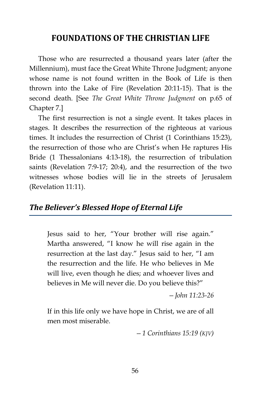Those who are resurrected a thousand years later (after the Millennium), must face the Great White Throne Judgment; anyone whose name is not found written in the Book of Life is then thrown into the Lake of Fire (Revelation 20:11-15). That is the second death. [See *The Great White Throne Judgment* on [p.65](#page-72-0) of Chapter 7.]

The first resurrection is not a single event. It takes places in stages. It describes the resurrection of the righteous at various times. It includes the resurrection of Christ (1 Corinthians 15:23), the resurrection of those who are Christ's when He raptures His Bride (1 Thessalonians 4:13-18), the resurrection of tribulation saints (Revelation 7:9-17; 20:4), and the resurrection of the two witnesses whose bodies will lie in the streets of Jerusalem (Revelation 11:11).

#### *The Believer's Blessed Hope of Eternal Life*

Jesus said to her, "Your brother will rise again." Martha answered, "I know he will rise again in the resurrection at the last day." Jesus said to her, "I am the resurrection and the life. He who believes in Me will live, even though he dies; and whoever lives and believes in Me will never die. Do you believe this?"

*—John 11:23-26* 

If in this life only we have hope in Christ, we are of all men most miserable.

*—1 Corinthians 15:19 (KJV)*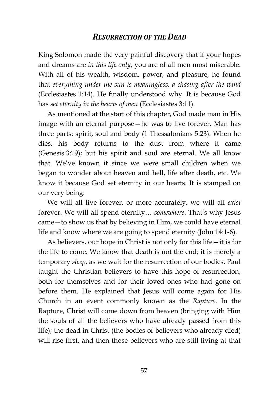#### *RESURRECTION OF THE DEAD*

King Solomon made the very painful discovery that if your hopes and dreams are *in this life only*, you are of all men most miserable. With all of his wealth, wisdom, power, and pleasure, he found that *everything under the sun is meaningless, a chasing after the wind* (Ecclesiastes 1:14). He finally understood why. It is because God has *set eternity in the hearts of men* (Ecclesiastes 3:11).

As mentioned at the start of this chapter, God made man in His image with an eternal purpose—he was to live forever. Man has three parts: spirit, soul and body (1 Thessalonians 5:23). When he dies, his body returns to the dust from where it came (Genesis 3:19); but his spirit and soul are eternal. We all know that. We've known it since we were small children when we began to wonder about heaven and hell, life after death, etc. We know it because God set eternity in our hearts. It is stamped on our very being.

We will all live forever, or more accurately, we will all *exist* forever. We will all spend eternity… *somewhere*. That's why Jesus came—to show us that by believing in Him, we could have eternal life and know where we are going to spend eternity (John 14:1-6).

As believers, our hope in Christ is not only for this life—it is for the life to come. We know that death is not the end; it is merely a temporary *sleep*, as we wait for the resurrection of our bodies. Paul taught the Christian believers to have this hope of resurrection, both for themselves and for their loved ones who had gone on before them. He explained that Jesus will come again for His Church in an event commonly known as the *Rapture*. In the Rapture, Christ will come down from heaven (bringing with Him the souls of all the believers who have already passed from this life); the dead in Christ (the bodies of believers who already died) will rise first, and then those believers who are still living at that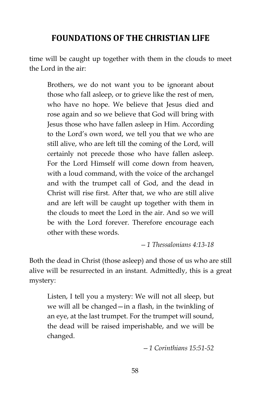time will be caught up together with them in the clouds to meet the Lord in the air:

Brothers, we do not want you to be ignorant about those who fall asleep, or to grieve like the rest of men, who have no hope. We believe that Jesus died and rose again and so we believe that God will bring with Jesus those who have fallen asleep in Him. According to the Lord's own word, we tell you that we who are still alive, who are left till the coming of the Lord, will certainly not precede those who have fallen asleep. For the Lord Himself will come down from heaven, with a loud command, with the voice of the archangel and with the trumpet call of God, and the dead in Christ will rise first. After that, we who are still alive and are left will be caught up together with them in the clouds to meet the Lord in the air. And so we will be with the Lord forever. Therefore encourage each other with these words.

*—1 Thessalonians 4:13-18*

Both the dead in Christ (those asleep) and those of us who are still alive will be resurrected in an instant. Admittedly, this is a great mystery:

Listen, I tell you a mystery: We will not all sleep, but we will all be changed—in a flash, in the twinkling of an eye, at the last trumpet. For the trumpet will sound, the dead will be raised imperishable, and we will be changed.

*—1 Corinthians 15:51-52*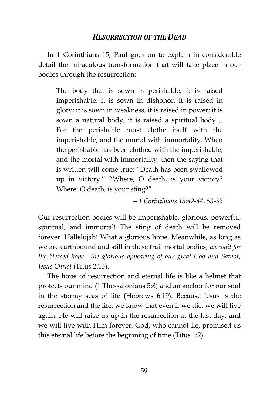#### *RESURRECTION OF THE DEAD*

<span id="page-66-0"></span>In 1 Corinthians 15, Paul goes on to explain in considerable detail the miraculous transformation that will take place in our bodies through the resurrection:

The body that is sown is perishable, it is raised imperishable; it is sown in dishonor, it is raised in glory; it is sown in weakness, it is raised in power; it is sown a natural body, it is raised a spiritual body… For the perishable must clothe itself with the imperishable, and the mortal with immortality. When the perishable has been clothed with the imperishable, and the mortal with immortality, then the saying that is written will come true: "Death has been swallowed up in victory." "Where, O death, is your victory? Where, O death, is your sting?"

*—1 Corinthians 15:42-44, 53-55* 

Our resurrection bodies will be imperishable, glorious, powerful, spiritual, and immortal! The sting of death will be removed forever. Hallelujah! What a glorious hope. Meanwhile, as long as we are earthbound and still in these frail mortal bodies, *we wait for the blessed hope—the glorious appearing of our great God and Savior, Jesus Christ* (Titus 2:13).

The hope of resurrection and eternal life is like a helmet that protects our mind (1 Thessalonians 5:8) and an anchor for our soul in the stormy seas of life (Hebrews 6:19). Because Jesus is the resurrection and the life, we know that even if we die, we will live again. He will raise us up in the resurrection at the last day, and we will live with Him forever. God, who cannot lie, promised us this eternal life before the beginning of time (Titus 1:2).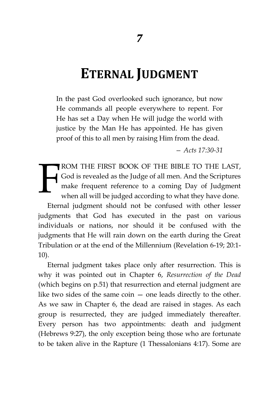# **ETERNAL JUDGMENT**

<span id="page-68-0"></span>In the past God overlooked such ignorance, but now He commands all people everywhere to repent. For He has set a Day when He will judge the world with justice by the Man He has appointed. He has given proof of this to all men by raising Him from the dead.

*— Acts 17:30-31* 

ROM THE FIRST BOOK OF THE BIBLE TO THE LAST, God is revealed as the Judge of all men. And the Scriptures make frequent reference to a coming Day of Judgment when all will be judged according to what they have done.  $F_{\text{mal}}^{\text{RO}}$ 

Eternal judgment should not be confused with other lesser judgments that God has executed in the past on various individuals or nations, nor should it be confused with the judgments that He will rain down on the earth during the Great Tribulation or at the end of the Millennium (Revelation 6-19; 20:1- 10).

Eternal judgment takes place only after resurrection. This is why it was pointed out in Chapter 6, *[Resurrection of the Dead](#page-58-0)* (which begins on p[.51\)](#page-58-0) that resurrection and eternal judgment are like two sides of the same coin — one leads directly to the other. As we saw in Chapter 6, the dead are raised in stages. As each group is resurrected, they are judged immediately thereafter. Every person has two appointments: death and judgment (Hebrews 9:27), the only exception being those who are fortunate to be taken alive in the Rapture (1 Thessalonians 4:17). Some are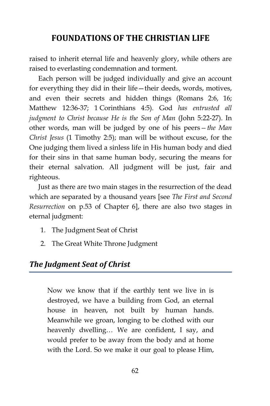raised to inherit eternal life and heavenly glory, while others are raised to everlasting condemnation and torment.

Each person will be judged individually and give an account for everything they did in their life—their deeds, words, motives, and even their secrets and hidden things (Romans 2:6, 16; Matthew 12:36-37; 1 Corinthians 4:5). God *has entrusted all judgment to Christ because He is the Son of Man* (John 5:22-27). In other words, man will be judged by one of his peers*—the Man Christ Jesus* (1 Timothy 2:5); man will be without excuse, for the One judging them lived a sinless life in His human body and died for their sins in that same human body, securing the means for their eternal salvation. All judgment will be just, fair and righteous.

Just as there are two main stages in the resurrection of the dead which are separated by a thousand years [see *The First and Second Resurrection* on [p.53](#page-60-0) of Chapter 6], there are also two stages in eternal judgment:

- 1. The Judgment Seat of Christ
- 2. The Great White Throne Judgment

#### *The Judgment Seat of Christ*

Now we know that if the earthly tent we live in is destroyed, we have a building from God, an eternal house in heaven, not built by human hands. Meanwhile we groan, longing to be clothed with our heavenly dwelling… We are confident, I say, and would prefer to be away from the body and at home with the Lord. So we make it our goal to please Him,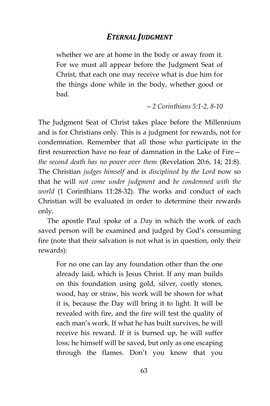## *ETERNAL JUDGMENT*

whether we are at home in the body or away from it. For we must all appear before the Judgment Seat of Christ, that each one may receive what is due him for the things done while in the body, whether good or bad.

*—2 Corinthians 5:1-2, 8-10*

The Judgment Seat of Christ takes place before the Millennium and is for Christians only. This is a judgment for rewards, not for condemnation. Remember that all those who participate in the first resurrection have no fear of damnation in the Lake of Fire *the second death has no power over them* (Revelation 20:6, 14; 21:8). The Christian *judges himself* and is *disciplined by the Lord* now so that he will *not come under judgment* and *be condemned with the world* (1 Corinthians 11:28-32). The works and conduct of each Christian will be evaluated in order to determine their rewards only.

The apostle Paul spoke of a *Day* in which the work of each saved person will be examined and judged by God's consuming fire (note that their salvation is not what is in question, only their rewards):

For no one can lay any foundation other than the one already laid, which is Jesus Christ. If any man builds on this foundation using gold, silver, costly stones, wood, hay or straw, his work will be shown for what it is, because the Day will bring it to light. It will be revealed with fire, and the fire will test the quality of each man's work. If what he has built survives, he will receive his reward. If it is burned up, he will suffer loss; he himself will be saved, but only as one escaping through the flames. Don't you know that you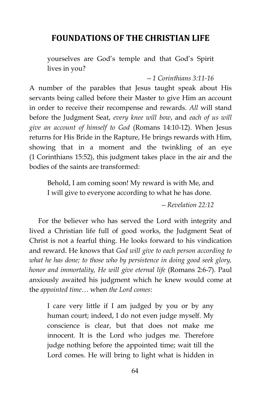yourselves are God's temple and that God's Spirit lives in you?

*—1 Corinthians 3:11-16* 

A number of the parables that Jesus taught speak about His servants being called before their Master to give Him an account in order to receive their recompense and rewards. *All* will stand before the Judgment Seat, *every knee will bow*, and *each of us will give an account of himself to God* (Romans 14:10-12). When Jesus returns for His Bride in the Rapture, He brings rewards with Him, showing that in a moment and the twinkling of an eye (1 Corinthians 15:52), this judgment takes place in the air and the bodies of the saints are transformed:

Behold, I am coming soon! My reward is with Me, and I will give to everyone according to what he has done.

*—Revelation 22:12* 

For the believer who has served the Lord with integrity and lived a Christian life full of good works, the Judgment Seat of Christ is not a fearful thing. He looks forward to his vindication and reward. He knows that *God will give to each person according to what he has done; to those who by persistence in doing good seek glory, honor and immortality, He will give eternal life* (Romans 2:6-7). Paul anxiously awaited his judgment which he knew would come at the *appointed time*… when *the Lord comes*:

I care very little if I am judged by you or by any human court; indeed, I do not even judge myself. My conscience is clear, but that does not make me innocent. It is the Lord who judges me. Therefore judge nothing before the appointed time; wait till the Lord comes. He will bring to light what is hidden in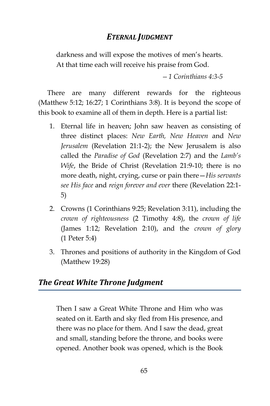### *ETERNAL JUDGMENT*

darkness and will expose the motives of men's hearts. At that time each will receive his praise from God.

*—1 Corinthians 4:3-5* 

There are many different rewards for the righteous (Matthew 5:12; 16:27; 1 Corinthians 3:8). It is beyond the scope of this book to examine all of them in depth. Here is a partial list:

- 1. Eternal life in heaven; John saw heaven as consisting of three distinct places: *New Earth, New Heaven* and *New Jerusalem* (Revelation 21:1-2); the New Jerusalem is also called the *Paradise of God* (Revelation 2:7) and the *Lamb's Wife*, the Bride of Christ (Revelation 21:9-10; there is no more death, night, crying, curse or pain there—*His servants see His face* and *reign forever and ever* there (Revelation 22:1- 5)
- 2. Crowns (1 Corinthians 9:25; Revelation 3:11), including the *crown of righteousness* (2 Timothy 4:8), the *crown of life* (James 1:12; Revelation 2:10), and the *crown of glory* (1 Peter 5:4)
- 3. Thrones and positions of authority in the Kingdom of God (Matthew 19:28)

#### *The Great White Throne Judgment*

Then I saw a Great White Throne and Him who was seated on it. Earth and sky fled from His presence, and there was no place for them. And I saw the dead, great and small, standing before the throne, and books were opened. Another book was opened, which is the Book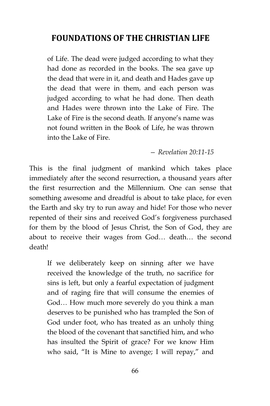of Life. The dead were judged according to what they had done as recorded in the books. The sea gave up the dead that were in it, and death and Hades gave up the dead that were in them, and each person was judged according to what he had done. Then death and Hades were thrown into the Lake of Fire. The Lake of Fire is the second death. If anyone's name was not found written in the Book of Life, he was thrown into the Lake of Fire.

*— Revelation 20:11-15* 

This is the final judgment of mankind which takes place immediately after the second resurrection, a thousand years after the first resurrection and the Millennium. One can sense that something awesome and dreadful is about to take place, for even the Earth and sky try to run away and hide! For those who never repented of their sins and received God's forgiveness purchased for them by the blood of Jesus Christ, the Son of God, they are about to receive their wages from God… death… the second death!

If we deliberately keep on sinning after we have received the knowledge of the truth, no sacrifice for sins is left, but only a fearful expectation of judgment and of raging fire that will consume the enemies of God… How much more severely do you think a man deserves to be punished who has trampled the Son of God under foot, who has treated as an unholy thing the blood of the covenant that sanctified him, and who has insulted the Spirit of grace? For we know Him who said, "It is Mine to avenge; I will repay," and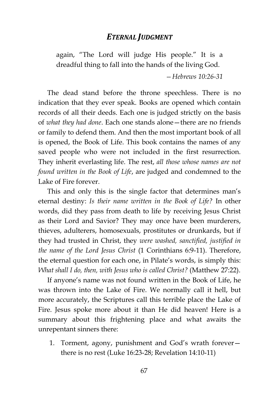#### *ETERNAL JUDGMENT*

again, "The Lord will judge His people." It is a dreadful thing to fall into the hands of the living God.

*—Hebrews 10:26-31* 

The dead stand before the throne speechless. There is no indication that they ever speak. Books are opened which contain records of all their deeds. Each one is judged strictly on the basis of *what they had done*. Each one stands alone—there are no friends or family to defend them. And then the most important book of all is opened, the Book of Life. This book contains the names of any saved people who were not included in the first resurrection. They inherit everlasting life. The rest, *all those whose names are not found written in the Book of Life*, are judged and condemned to the Lake of Fire forever.

This and only this is the single factor that determines man's eternal destiny: *Is their name written in the Book of Life?* In other words, did they pass from death to life by receiving Jesus Christ as their Lord and Savior? They may once have been murderers, thieves, adulterers, homosexuals, prostitutes or drunkards, but if they had trusted in Christ, they *were washed, sanctified, justified in the name of the Lord Jesus Christ* (1 Corinthians 6:9-11). Therefore, the eternal question for each one, in Pilate's words, is simply this: *What shall I do, then, with Jesus who is called Christ?* (Matthew 27:22).

If anyone's name was not found written in the Book of Life, he was thrown into the Lake of Fire. We normally call it hell, but more accurately, the Scriptures call this terrible place the Lake of Fire. Jesus spoke more about it than He did heaven! Here is a summary about this frightening place and what awaits the unrepentant sinners there:

1. Torment, agony, punishment and God's wrath forever there is no rest (Luke 16:23-28; Revelation 14:10-11)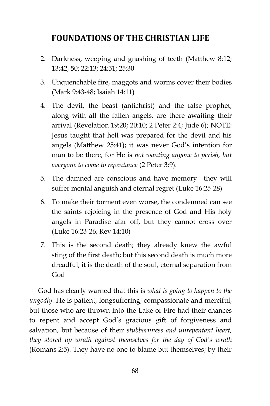- 2. Darkness, weeping and gnashing of teeth (Matthew 8:12; 13:42, 50; 22:13; 24:51; 25:30
- 3. Unquenchable fire, maggots and worms cover their bodies (Mark 9:43-48; Isaiah 14:11)
- 4. The devil, the beast (antichrist) and the false prophet, along with all the fallen angels, are there awaiting their arrival (Revelation 19:20; 20:10; 2 Peter 2:4; Jude 6); NOTE: Jesus taught that hell was prepared for the devil and his angels (Matthew 25:41); it was never God's intention for man to be there, for He is *not wanting anyone to perish, but everyone to come to repentance* (2 Peter 3:9).
- 5. The damned are conscious and have memory—they will suffer mental anguish and eternal regret (Luke 16:25-28)
- 6. To make their torment even worse, the condemned can see the saints rejoicing in the presence of God and His holy angels in Paradise afar off, but they cannot cross over (Luke 16:23-26; Rev 14:10)
- 7. This is the second death; they already knew the awful sting of the first death; but this second death is much more dreadful; it is the death of the soul, eternal separation from God

God has clearly warned that this is *what is going to happen to the ungodly.* He is patient, longsuffering, compassionate and merciful, but those who are thrown into the Lake of Fire had their chances to repent and accept God's gracious gift of forgiveness and salvation, but because of their *stubbornness and unrepentant heart, they stored up wrath against themselves for the day of God's wrath* (Romans 2:5). They have no one to blame but themselves; by their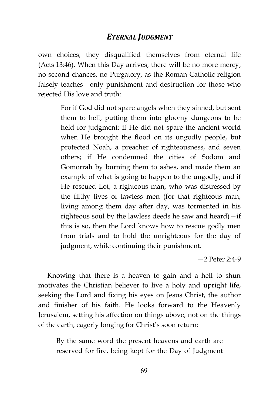#### *ETERNAL JUDGMENT*

own choices, they disqualified themselves from eternal life (Acts 13:46). When this Day arrives, there will be no more mercy, no second chances, no Purgatory, as the Roman Catholic religion falsely teaches—only punishment and destruction for those who rejected His love and truth:

> For if God did not spare angels when they sinned, but sent them to hell, putting them into gloomy dungeons to be held for judgment; if He did not spare the ancient world when He brought the flood on its ungodly people, but protected Noah, a preacher of righteousness, and seven others; if He condemned the cities of Sodom and Gomorrah by burning them to ashes, and made them an example of what is going to happen to the ungodly; and if He rescued Lot, a righteous man, who was distressed by the filthy lives of lawless men (for that righteous man, living among them day after day, was tormented in his righteous soul by the lawless deeds he saw and heard)—if this is so, then the Lord knows how to rescue godly men from trials and to hold the unrighteous for the day of judgment, while continuing their punishment.

> > —2 Peter 2:4-9

Knowing that there is a heaven to gain and a hell to shun motivates the Christian believer to live a holy and upright life, seeking the Lord and fixing his eyes on Jesus Christ, the author and finisher of his faith. He looks forward to the Heavenly Jerusalem, setting his affection on things above, not on the things of the earth, eagerly longing for Christ's soon return:

By the same word the present heavens and earth are reserved for fire, being kept for the Day of Judgment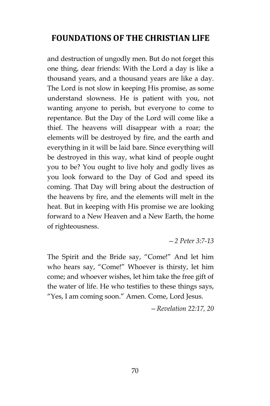and destruction of ungodly men. But do not forget this one thing, dear friends: With the Lord a day is like a thousand years, and a thousand years are like a day. The Lord is not slow in keeping His promise, as some understand slowness. He is patient with you, not wanting anyone to perish, but everyone to come to repentance. But the Day of the Lord will come like a thief. The heavens will disappear with a roar; the elements will be destroyed by fire, and the earth and everything in it will be laid bare. Since everything will be destroyed in this way, what kind of people ought you to be? You ought to live holy and godly lives as you look forward to the Day of God and speed its coming. That Day will bring about the destruction of the heavens by fire, and the elements will melt in the heat. But in keeping with His promise we are looking forward to a New Heaven and a New Earth, the home of righteousness.

*—2 Peter 3:7-13* 

The Spirit and the Bride say, "Come!" And let him who hears say, "Come!" Whoever is thirsty, let him come; and whoever wishes, let him take the free gift of the water of life. He who testifies to these things says, "Yes, I am coming soon." Amen. Come, Lord Jesus.

*—Revelation 22:17, 20*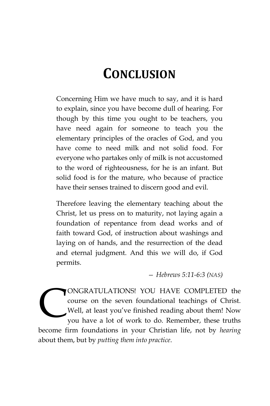# **CONCLUSION**

Concerning Him we have much to say, and it is hard to explain, since you have become dull of hearing. For though by this time you ought to be teachers, you have need again for someone to teach you the elementary principles of the oracles of God, and you have come to need milk and not solid food. For everyone who partakes only of milk is not accustomed to the word of righteousness, for he is an infant. But solid food is for the mature, who because of practice have their senses trained to discern good and evil.

Therefore leaving the elementary teaching about the Christ, let us press on to maturity, not laying again a foundation of repentance from dead works and of faith toward God, of instruction about washings and laying on of hands, and the resurrection of the dead and eternal judgment. And this we will do, if God permits.

*— Hebrews 5:11-6:3 (NAS)* 

ONGRATULATIONS! YOU HAVE COMPLETED the course on the seven foundational teachings of Christ. Well, at least you've finished reading about them! Now you have a lot of work to do. Remember, these truths become firm foundations in your Christian life, not by *hearing* about them, but by *putting them into practice*. CON COU VE VOL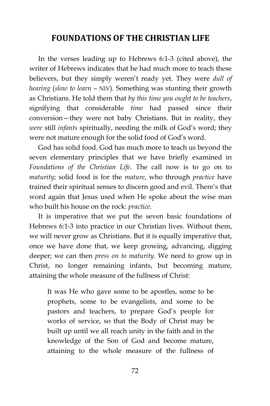In the verses leading up to Hebrews 6:1-3 (cited above), the writer of Hebrews indicates that he had much more to teach these believers, but they simply weren't ready yet. They were *dull of hearing* (*slow to learn* – NIV). Something was stunting their growth as Christians. He told them that *by this time you ought to be teachers*, signifying that considerable *time* had passed since their conversion—they were not baby Christians. But in reality, they *were* still *infants* spiritually, needing the milk of God's word; they were not mature enough for the solid food of God's word.

God has solid food. God has much more to teach us beyond the seven elementary principles that we have briefly examined in *Foundations of the Christian Life*. The call now is to go on to *maturity*; solid food is for the *mature*, who through *practice* have trained their spiritual senses to discern good and evil. There's that word again that Jesus used when He spoke about the wise man who built his house on the rock: *practice*.

It is imperative that we put the seven basic foundations of Hebrews 6:1-3 into practice in our Christian lives. Without them, we will never grow as Christians. But it is equally imperative that, once we have done that, we keep growing, advancing, digging deeper; we can then *press on to maturity*. We need to grow up in Christ, no longer remaining infants, but becoming mature, attaining the whole measure of the fullness of Christ:

It was He who gave some to be apostles, some to be prophets, some to be evangelists, and some to be pastors and teachers, to prepare God's people for works of service, so that the Body of Christ may be built up until we all reach unity in the faith and in the knowledge of the Son of God and become mature, attaining to the whole measure of the fullness of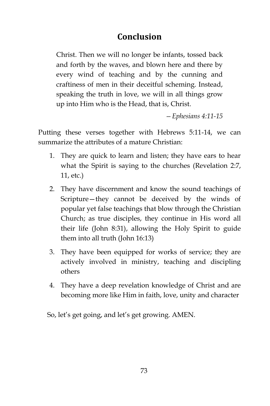# **Conclusion**

Christ. Then we will no longer be infants, tossed back and forth by the waves, and blown here and there by every wind of teaching and by the cunning and craftiness of men in their deceitful scheming. Instead, speaking the truth in love, we will in all things grow up into Him who is the Head, that is, Christ.

*—Ephesians 4:11-15* 

Putting these verses together with Hebrews 5:11-14, we can summarize the attributes of a mature Christian:

- 1. They are quick to learn and listen; they have ears to hear what the Spirit is saying to the churches (Revelation 2:7, 11, etc.)
- 2. They have discernment and know the sound teachings of Scripture—they cannot be deceived by the winds of popular yet false teachings that blow through the Christian Church; as true disciples, they continue in His word all their life (John 8:31), allowing the Holy Spirit to guide them into all truth (John 16:13)
- 3. They have been equipped for works of service; they are actively involved in ministry, teaching and discipling others
- 4. They have a deep revelation knowledge of Christ and are becoming more like Him in faith, love, unity and character

So, let's get going, and let's get growing. AMEN.